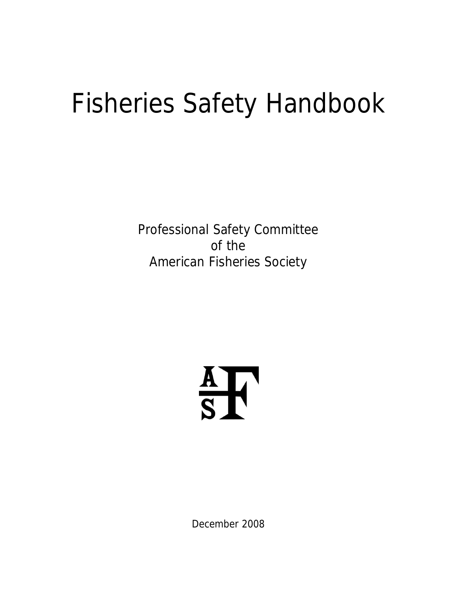# Fisheries Safety Handbook

Professional Safety Committee of the American Fisheries Society



December 2008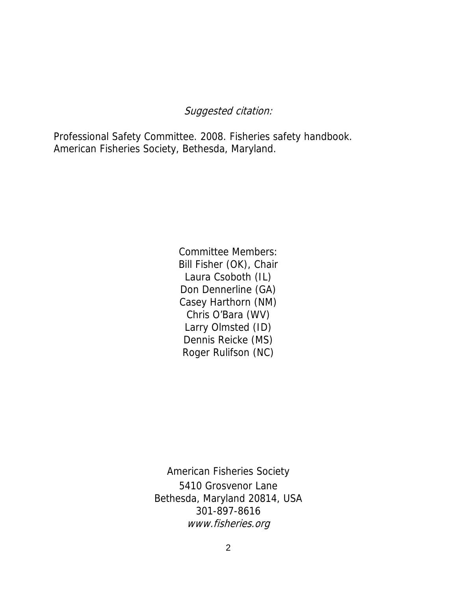# Suggested citation:

Professional Safety Committee. 2008. Fisheries safety handbook. American Fisheries Society, Bethesda, Maryland.

> Committee Members: Bill Fisher (OK), Chair Laura Csoboth (IL) Don Dennerline (GA) Casey Harthorn (NM) Chris O'Bara (WV) Larry Olmsted (ID) Dennis Reicke (MS) Roger Rulifson (NC)

American Fisheries Society 5410 Grosvenor Lane Bethesda, Maryland 20814, USA 301-897-8616 www.fisheries.org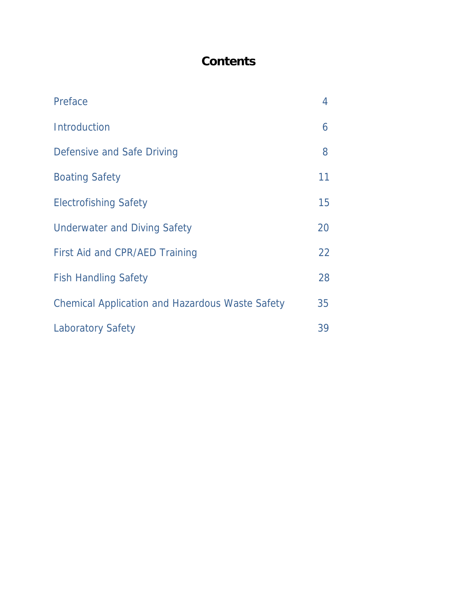# **Contents**

| Preface                                                | 4  |
|--------------------------------------------------------|----|
| <b>Introduction</b>                                    | 6  |
| Defensive and Safe Driving                             | 8  |
| <b>Boating Safety</b>                                  | 11 |
| <b>Electrofishing Safety</b>                           | 15 |
| <b>Underwater and Diving Safety</b>                    | 20 |
| First Aid and CPR/AED Training                         | 22 |
| <b>Fish Handling Safety</b>                            | 28 |
| <b>Chemical Application and Hazardous Waste Safety</b> | 35 |
| <b>Laboratory Safety</b>                               | 39 |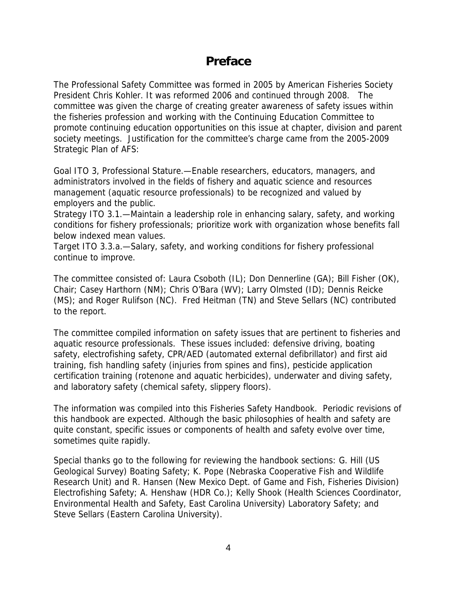# **Preface**

<span id="page-3-0"></span>The Professional Safety Committee was formed in 2005 by American Fisheries Society President Chris Kohler. It was reformed 2006 and continued through 2008. The committee was given the charge of creating greater awareness of safety issues within the fisheries profession and working with the Continuing Education Committee to promote continuing education opportunities on this issue at chapter, division and parent society meetings. Justification for the committee's charge came from the 2005-2009 Strategic Plan of AFS:

Goal ITO 3, Professional Stature.—Enable researchers, educators, managers, and administrators involved in the fields of fishery and aquatic science and resources management (aquatic resource professionals) to be recognized and valued by employers and the public.

Strategy ITO 3.1.—Maintain a leadership role in enhancing salary, safety, and working conditions for fishery professionals; prioritize work with organization whose benefits fall below indexed mean values.

Target ITO 3.3.a.—Salary, safety, and working conditions for fishery professional continue to improve.

The committee consisted of: Laura Csoboth (IL); Don Dennerline (GA); Bill Fisher (OK), Chair; Casey Harthorn (NM); Chris O'Bara (WV); Larry Olmsted (ID); Dennis Reicke (MS); and Roger Rulifson (NC). Fred Heitman (TN) and Steve Sellars (NC) contributed to the report.

The committee compiled information on safety issues that are pertinent to fisheries and aquatic resource professionals. These issues included: defensive driving, boating safety, electrofishing safety, CPR/AED (automated external defibrillator) and first aid training, fish handling safety (injuries from spines and fins), pesticide application certification training (rotenone and aquatic herbicides), underwater and diving safety, and laboratory safety (chemical safety, slippery floors).

The information was compiled into this Fisheries Safety Handbook. Periodic revisions of this handbook are expected. Although the basic philosophies of health and safety are quite constant, specific issues or components of health and safety evolve over time, sometimes quite rapidly.

Special thanks go to the following for reviewing the handbook sections: G. Hill (US Geological Survey) Boating Safety; K. Pope (Nebraska Cooperative Fish and Wildlife Research Unit) and R. Hansen (New Mexico Dept. of Game and Fish, Fisheries Division) Electrofishing Safety; A. Henshaw (HDR Co.); Kelly Shook (Health Sciences Coordinator, Environmental Health and Safety, East Carolina University) Laboratory Safety; and Steve Sellars (Eastern Carolina University).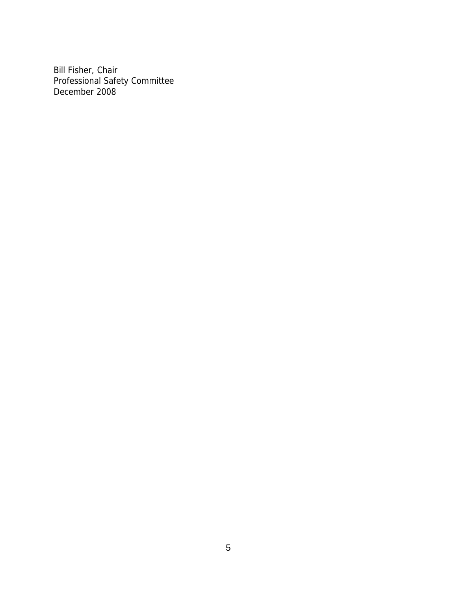Bill Fisher, Chair Professional Safety Committee December 2008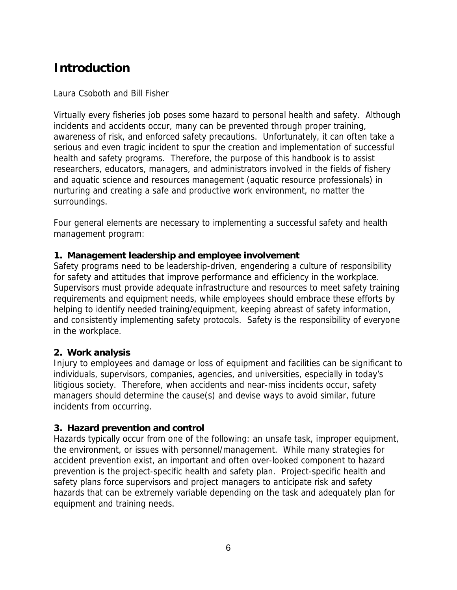# <span id="page-5-0"></span>**Introduction**

Laura Csoboth and Bill Fisher

Virtually every fisheries job poses some hazard to personal health and safety. Although incidents and accidents occur, many can be prevented through proper training, awareness of risk, and enforced safety precautions. Unfortunately, it can often take a serious and even tragic incident to spur the creation and implementation of successful health and safety programs. Therefore, the purpose of this handbook is to assist researchers, educators, managers, and administrators involved in the fields of fishery and aquatic science and resources management (aquatic resource professionals) in nurturing and creating a safe and productive work environment, no matter the surroundings.

Four general elements are necessary to implementing a successful safety and health management program:

# **1. Management leadership and employee involvement**

Safety programs need to be leadership-driven, engendering a culture of responsibility for safety and attitudes that improve performance and efficiency in the workplace. Supervisors must provide adequate infrastructure and resources to meet safety training requirements and equipment needs, while employees should embrace these efforts by helping to identify needed training/equipment, keeping abreast of safety information, and consistently implementing safety protocols. Safety is the responsibility of everyone in the workplace.

# **2. Work analysis**

Injury to employees and damage or loss of equipment and facilities can be significant to individuals, supervisors, companies, agencies, and universities, especially in today's litigious society. Therefore, when accidents and near-miss incidents occur, safety managers should determine the cause(s) and devise ways to avoid similar, future incidents from occurring.

# **3. Hazard prevention and control**

Hazards typically occur from one of the following: an unsafe task, improper equipment, the environment, or issues with personnel/management. While many strategies for accident prevention exist, an important and often over-looked component to hazard prevention is the project-specific health and safety plan. Project-specific health and safety plans force supervisors and project managers to anticipate risk and safety hazards that can be extremely variable depending on the task and adequately plan for equipment and training needs.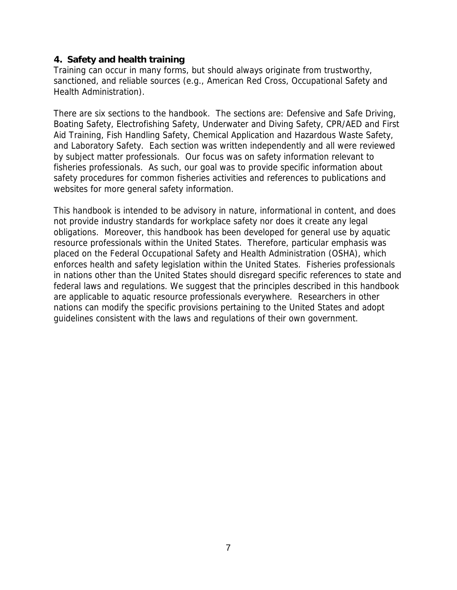## **4. Safety and health training**

Training can occur in many forms, but should always originate from trustworthy, sanctioned, and reliable sources (e.g., American Red Cross, Occupational Safety and Health Administration).

There are six sections to the handbook. The sections are: Defensive and Safe Driving, Boating Safety, Electrofishing Safety, Underwater and Diving Safety, CPR/AED and First Aid Training, Fish Handling Safety, Chemical Application and Hazardous Waste Safety, and Laboratory Safety. Each section was written independently and all were reviewed by subject matter professionals. Our focus was on safety information relevant to fisheries professionals. As such, our goal was to provide specific information about safety procedures for common fisheries activities and references to publications and websites for more general safety information.

This handbook is intended to be advisory in nature, informational in content, and does not provide industry standards for workplace safety nor does it create any legal obligations. Moreover, this handbook has been developed for general use by aquatic resource professionals within the United States. Therefore, particular emphasis was placed on the Federal Occupational Safety and Health Administration (OSHA), which enforces health and safety legislation within the United States. Fisheries professionals in nations other than the United States should disregard specific references to state and federal laws and regulations. We suggest that the principles described in this handbook are applicable to aquatic resource professionals everywhere. Researchers in other nations can modify the specific provisions pertaining to the United States and adopt guidelines consistent with the laws and regulations of their own government.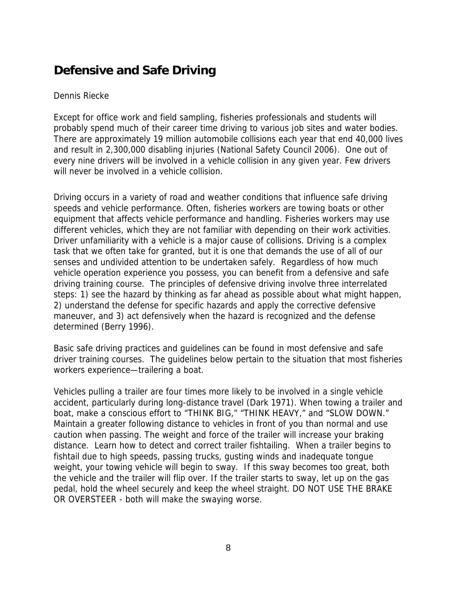# <span id="page-7-0"></span>**Defensive and Safe Driving**

## Dennis Riecke

Except for office work and field sampling, fisheries professionals and students will probably spend much of their career time driving to various job sites and water bodies. There are approximately 19 million automobile collisions each year that end 40,000 lives and result in 2,300,000 disabling injuries (National Safety Council 2006). One out of every nine drivers will be involved in a vehicle collision in any given year. Few drivers will never be involved in a vehicle collision.

Driving occurs in a variety of road and weather conditions that influence safe driving speeds and vehicle performance. Often, fisheries workers are towing boats or other equipment that affects vehicle performance and handling. Fisheries workers may use different vehicles, which they are not familiar with depending on their work activities. Driver unfamiliarity with a vehicle is a major cause of collisions. Driving is a complex task that we often take for granted, but it is one that demands the use of all of our senses and undivided attention to be undertaken safely. Regardless of how much vehicle operation experience you possess, you can benefit from a defensive and safe driving training course. The principles of defensive driving involve three interrelated steps: 1) see the hazard by thinking as far ahead as possible about what might happen, 2) understand the defense for specific hazards and apply the corrective defensive maneuver, and 3) act defensively when the hazard is recognized and the defense determined (Berry 1996).

Basic safe driving practices and guidelines can be found in most defensive and safe driver training courses. The guidelines below pertain to the situation that most fisheries workers experience—trailering a boat.

Vehicles pulling a trailer are four times more likely to be involved in a single vehicle accident, particularly during long-distance travel (Dark 1971). When towing a trailer and boat, make a conscious effort to "THINK BIG," "THINK HEAVY," and "SLOW DOWN." Maintain a greater following distance to vehicles in front of you than normal and use caution when passing. The weight and force of the trailer will increase your braking distance. Learn how to detect and correct trailer fishtailing. When a trailer begins to fishtail due to high speeds, passing trucks, gusting winds and inadequate tongue weight, your towing vehicle will begin to sway. If this sway becomes too great, both the vehicle and the trailer will flip over. If the trailer starts to sway, let up on the gas pedal, hold the wheel securely and keep the wheel straight. DO NOT USE THE BRAKE OR OVERSTEER - both will make the swaying worse.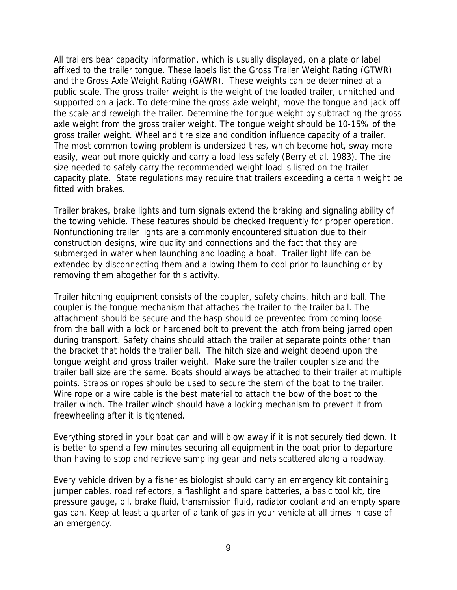All trailers bear capacity information, which is usually displayed, on a plate or label affixed to the trailer tongue. These labels list the Gross Trailer Weight Rating (GTWR) and the Gross Axle Weight Rating (GAWR). These weights can be determined at a public scale. The gross trailer weight is the weight of the loaded trailer, unhitched and supported on a jack. To determine the gross axle weight, move the tongue and jack off the scale and reweigh the trailer. Determine the tongue weight by subtracting the gross axle weight from the gross trailer weight. The tongue weight should be 10-15% of the gross trailer weight. Wheel and tire size and condition influence capacity of a trailer. The most common towing problem is undersized tires, which become hot, sway more easily, wear out more quickly and carry a load less safely (Berry et al. 1983). The tire size needed to safely carry the recommended weight load is listed on the trailer capacity plate. State regulations may require that trailers exceeding a certain weight be fitted with brakes.

Trailer brakes, brake lights and turn signals extend the braking and signaling ability of the towing vehicle. These features should be checked frequently for proper operation. Nonfunctioning trailer lights are a commonly encountered situation due to their construction designs, wire quality and connections and the fact that they are submerged in water when launching and loading a boat. Trailer light life can be extended by disconnecting them and allowing them to cool prior to launching or by removing them altogether for this activity.

Trailer hitching equipment consists of the coupler, safety chains, hitch and ball. The coupler is the tongue mechanism that attaches the trailer to the trailer ball. The attachment should be secure and the hasp should be prevented from coming loose from the ball with a lock or hardened bolt to prevent the latch from being jarred open during transport. Safety chains should attach the trailer at separate points other than the bracket that holds the trailer ball. The hitch size and weight depend upon the tongue weight and gross trailer weight. Make sure the trailer coupler size and the trailer ball size are the same. Boats should always be attached to their trailer at multiple points. Straps or ropes should be used to secure the stern of the boat to the trailer. Wire rope or a wire cable is the best material to attach the bow of the boat to the trailer winch. The trailer winch should have a locking mechanism to prevent it from freewheeling after it is tightened.

Everything stored in your boat can and will blow away if it is not securely tied down. It is better to spend a few minutes securing all equipment in the boat prior to departure than having to stop and retrieve sampling gear and nets scattered along a roadway.

Every vehicle driven by a fisheries biologist should carry an emergency kit containing jumper cables, road reflectors, a flashlight and spare batteries, a basic tool kit, tire pressure gauge, oil, brake fluid, transmission fluid, radiator coolant and an empty spare gas can. Keep at least a quarter of a tank of gas in your vehicle at all times in case of an emergency.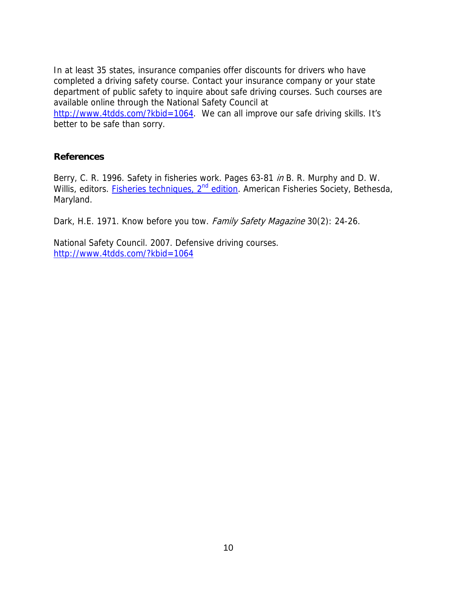In at least 35 states, insurance companies offer discounts for drivers who have completed a driving safety course. Contact your insurance company or your state department of public safety to inquire about safe driving courses. Such courses are available online through the National Safety Council at http://www.4tdds.com/?kbid=1064. We can all improve our safe driving skills. It's

better to be safe than sorry.

### **References**

Berry, C. R. 1996. Safety in fisheries work. Pages 63-81 in B. R. Murphy and D. W. Willis, editors. Fisheries techniques, 2<sup>nd</sup> edition. American Fisheries Society, Bethesda, Maryland.

Dark, H.E. 1971. Know before you tow. Family Safety Magazine 30(2): 24-26.

National Safety Council. 2007. Defensive driving courses. http://www.4tdds.com/?kbid=1064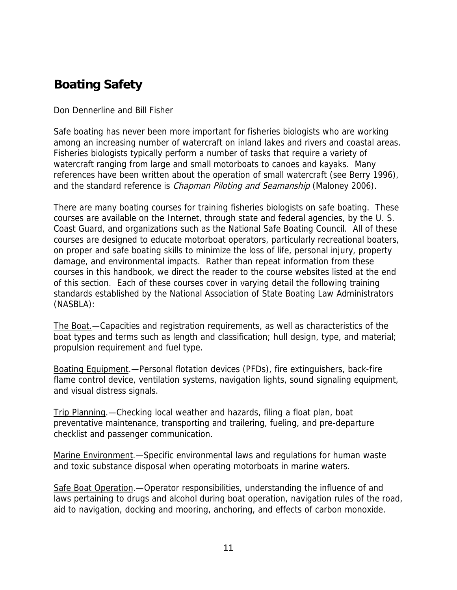# <span id="page-10-0"></span>**Boating Safety**

Don Dennerline and Bill Fisher

Safe boating has never been more important for fisheries biologists who are working among an increasing number of watercraft on inland lakes and rivers and coastal areas. Fisheries biologists typically perform a number of tasks that require a variety of watercraft ranging from large and small motorboats to canoes and kayaks. Many references have been written about the operation of small watercraft (see Berry 1996), and the standard reference is *Chapman Piloting and Seamanship* (Maloney 2006).

There are many boating courses for training fisheries biologists on safe boating. These courses are available on the Internet, through state and federal agencies, by the U. S. Coast Guard, and organizations such as the National Safe Boating Council. All of these courses are designed to educate motorboat operators, particularly recreational boaters, on proper and safe boating skills to minimize the loss of life, personal injury, property damage, and environmental impacts. Rather than repeat information from these courses in this handbook, we direct the reader to the course websites listed at the end of this section. Each of these courses cover in varying detail the following training standards established by the National Association of State Boating Law Administrators (NASBLA):

The Boat.—Capacities and registration requirements, as well as characteristics of the boat types and terms such as length and classification; hull design, type, and material; propulsion requirement and fuel type.

Boating Equipment.—Personal flotation devices (PFDs), fire extinguishers, back-fire flame control device, ventilation systems, navigation lights, sound signaling equipment, and visual distress signals.

Trip Planning.—Checking local weather and hazards, filing a float plan, boat preventative maintenance, transporting and trailering, fueling, and pre-departure checklist and passenger communication.

Marine Environment. - Specific environmental laws and regulations for human waste and toxic substance disposal when operating motorboats in marine waters.

Safe Boat Operation.—Operator responsibilities, understanding the influence of and laws pertaining to drugs and alcohol during boat operation, navigation rules of the road, aid to navigation, docking and mooring, anchoring, and effects of carbon monoxide.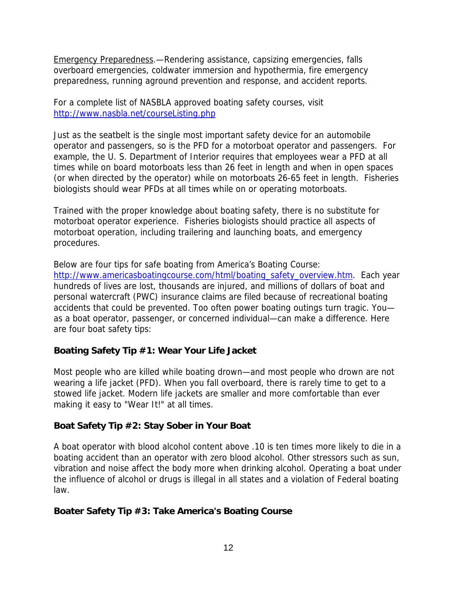Emergency Preparedness.—Rendering assistance, capsizing emergencies, falls overboard emergencies, coldwater immersion and hypothermia, fire emergency preparedness, running aground prevention and response, and accident reports.

For a complete list of NASBLA approved boating safety courses, visit http://www.nasbla.net/courseListing.php

Just as the seatbelt is the single most important safety device for an automobile operator and passengers, so is the PFD for a motorboat operator and passengers. For example, the U. S. Department of Interior requires that employees wear a PFD at all times while on board motorboats less than 26 feet in length and when in open spaces (or when directed by the operator) while on motorboats 26-65 feet in length. Fisheries biologists should wear PFDs at all times while on or operating motorboats.

Trained with the proper knowledge about boating safety, there is no substitute for motorboat operator experience. Fisheries biologists should practice all aspects of motorboat operation, including trailering and launching boats, and emergency procedures.

Below are four tips for safe boating from America's Boating Course: http://www.americasboatingcourse.com/html/boating\_safety\_overview.htm. Each year hundreds of lives are lost, thousands are injured, and millions of dollars of boat and personal watercraft (PWC) insurance claims are filed because of recreational boating accidents that could be prevented. Too often power boating outings turn tragic. You as a boat operator, passenger, or concerned individual—can make a difference. Here are four boat safety tips:

## **Boating Safety Tip #1: Wear Your Life Jacket**

Most people who are killed while boating drown—and most people who drown are not wearing a life jacket (PFD). When you fall overboard, there is rarely time to get to a stowed life jacket. Modern life jackets are smaller and more comfortable than ever making it easy to "Wear It!" at all times.

# **Boat Safety Tip #2: Stay Sober in Your Boat**

A boat operator with blood alcohol content above .10 is ten times more likely to die in a boating accident than an operator with zero blood alcohol. Other stressors such as sun, vibration and noise affect the body more when drinking alcohol. Operating a boat under the influence of alcohol or drugs is illegal in all states and a violation of Federal boating law.

# **Boater Safety Tip #3: Take America's Boating Course**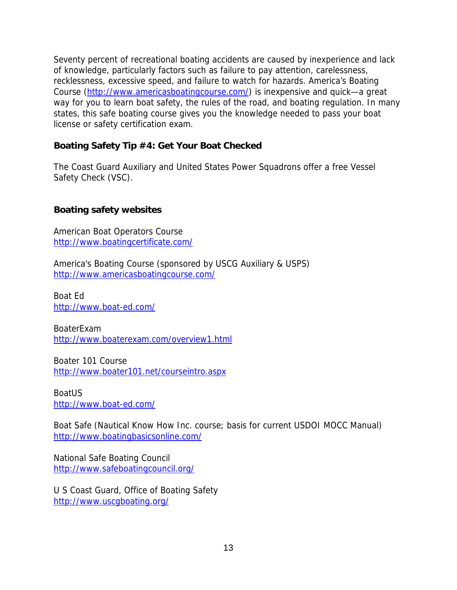Seventy percent of recreational boating accidents are caused by inexperience and lack of knowledge, particularly factors such as failure to pay attention, carelessness, recklessness, excessive speed, and failure to watch for hazards. America's Boating Course (http://www.americasboatingcourse.com/) is inexpensive and quick—a great way for you to learn boat safety, the rules of the road, and boating regulation. In many states, this safe boating course gives you the knowledge needed to pass your boat license or safety certification exam.

## **Boating Safety Tip #4: Get Your Boat Checked**

The Coast Guard Auxiliary and United States Power Squadrons offer a free Vessel Safety Check (VSC).

## **Boating safety websites**

American Boat Operators Course http://www.boatingcertificate.com/

America's Boating Course (sponsored by USCG Auxiliary & USPS) http://www.americasboatingcourse.com/

Boat Ed http://www.boat-ed.com/

BoaterExam http://www.boaterexam.com/overview1.html

Boater 101 Course http://www.boater101.net/courseintro.aspx

**BoatUS** http://www.boat-ed.com/

Boat Safe (Nautical Know How Inc. course; basis for current USDOI MOCC Manual) http://www.boatingbasicsonline.com/

National Safe Boating Council http://www.safeboatingcouncil.org/

U S Coast Guard, Office of Boating Safety http://www.uscgboating.org/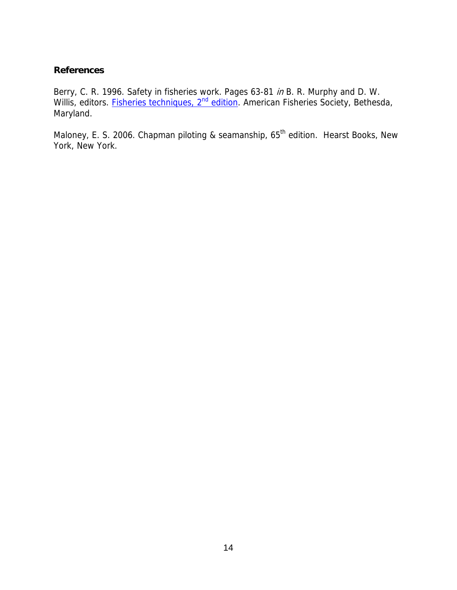#### **References**

Berry, C. R. 1996. Safety in fisheries work. Pages 63-81 in B. R. Murphy and D. W. Willis, editors. *Fisheries techniques, 2<sup>nd</sup> edition*. American Fisheries Society, Bethesda, Maryland.

Maloney, E. S. 2006. Chapman piloting & seamanship, 65<sup>th</sup> edition. Hearst Books, New York, New York.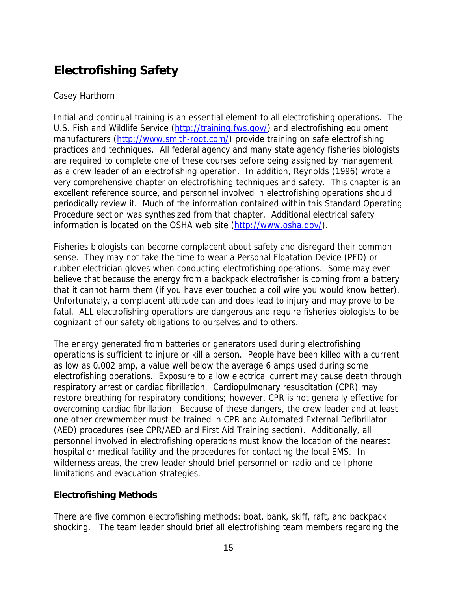# <span id="page-14-0"></span>**Electrofishing Safety**

# Casey Harthorn

Initial and continual training is an essential element to all electrofishing operations. The U.S. Fish and Wildlife Service (http://training.fws.gov/) and electrofishing equipment manufacturers (http://www.smith-root.com/) provide training on safe electrofishing practices and techniques. All federal agency and many state agency fisheries biologists are required to complete one of these courses before being assigned by management as a crew leader of an electrofishing operation. In addition, Reynolds (1996) wrote a very comprehensive chapter on electrofishing techniques and safety. This chapter is an excellent reference source, and personnel involved in electrofishing operations should periodically review it. Much of the information contained within this Standard Operating Procedure section was synthesized from that chapter. Additional electrical safety information is located on the OSHA web site (http://www.osha.gov/).

Fisheries biologists can become complacent about safety and disregard their common sense. They may not take the time to wear a Personal Floatation Device (PFD) or rubber electrician gloves when conducting electrofishing operations. Some may even believe that because the energy from a backpack electrofisher is coming from a battery that it cannot harm them (if you have ever touched a coil wire you would know better). Unfortunately, a complacent attitude can and does lead to injury and may prove to be fatal. ALL electrofishing operations are dangerous and require fisheries biologists to be cognizant of our safety obligations to ourselves and to others.

The energy generated from batteries or generators used during electrofishing operations is sufficient to injure or kill a person. People have been killed with a current as low as 0.002 amp, a value well below the average 6 amps used during some electrofishing operations. Exposure to a low electrical current may cause death through respiratory arrest or cardiac fibrillation. Cardiopulmonary resuscitation (CPR) may restore breathing for respiratory conditions; however, CPR is not generally effective for overcoming cardiac fibrillation. Because of these dangers, the crew leader and at least one other crewmember must be trained in CPR and Automated External Defibrillator (AED) procedures (see CPR/AED and First Aid Training section). Additionally, all personnel involved in electrofishing operations must know the location of the nearest hospital or medical facility and the procedures for contacting the local EMS. In wilderness areas, the crew leader should brief personnel on radio and cell phone limitations and evacuation strategies.

# **Electrofishing Methods**

There are five common electrofishing methods: boat, bank, skiff, raft, and backpack shocking. The team leader should brief all electrofishing team members regarding the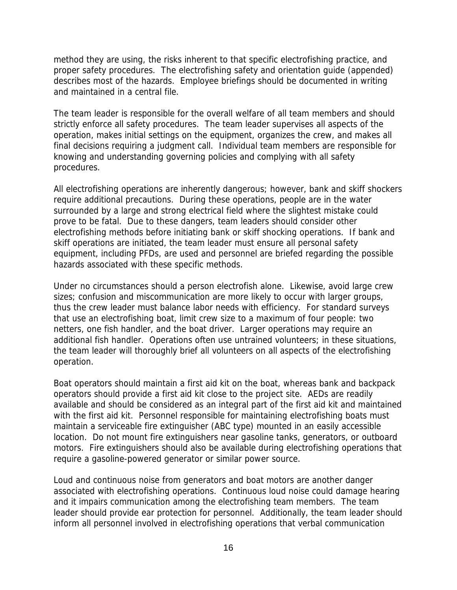method they are using, the risks inherent to that specific electrofishing practice, and proper safety procedures. The electrofishing safety and orientation guide (appended) describes most of the hazards. Employee briefings should be documented in writing and maintained in a central file.

The team leader is responsible for the overall welfare of all team members and should strictly enforce all safety procedures. The team leader supervises all aspects of the operation, makes initial settings on the equipment, organizes the crew, and makes all final decisions requiring a judgment call. Individual team members are responsible for knowing and understanding governing policies and complying with all safety procedures.

All electrofishing operations are inherently dangerous; however, bank and skiff shockers require additional precautions. During these operations, people are in the water surrounded by a large and strong electrical field where the slightest mistake could prove to be fatal. Due to these dangers, team leaders should consider other electrofishing methods before initiating bank or skiff shocking operations. If bank and skiff operations are initiated, the team leader must ensure all personal safety equipment, including PFDs, are used and personnel are briefed regarding the possible hazards associated with these specific methods.

Under no circumstances should a person electrofish alone. Likewise, avoid large crew sizes; confusion and miscommunication are more likely to occur with larger groups, thus the crew leader must balance labor needs with efficiency. For standard surveys that use an electrofishing boat, limit crew size to a maximum of four people: two netters, one fish handler, and the boat driver. Larger operations may require an additional fish handler. Operations often use untrained volunteers; in these situations, the team leader will thoroughly brief all volunteers on all aspects of the electrofishing operation.

Boat operators should maintain a first aid kit on the boat, whereas bank and backpack operators should provide a first aid kit close to the project site. AEDs are readily available and should be considered as an integral part of the first aid kit and maintained with the first aid kit. Personnel responsible for maintaining electrofishing boats must maintain a serviceable fire extinguisher (ABC type) mounted in an easily accessible location. Do not mount fire extinguishers near gasoline tanks, generators, or outboard motors. Fire extinguishers should also be available during electrofishing operations that require a gasoline-powered generator or similar power source.

Loud and continuous noise from generators and boat motors are another danger associated with electrofishing operations. Continuous loud noise could damage hearing and it impairs communication among the electrofishing team members. The team leader should provide ear protection for personnel. Additionally, the team leader should inform all personnel involved in electrofishing operations that verbal communication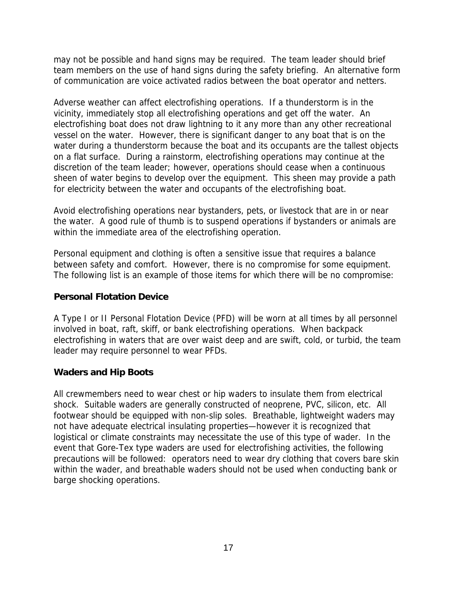may not be possible and hand signs may be required. The team leader should brief team members on the use of hand signs during the safety briefing. An alternative form of communication are voice activated radios between the boat operator and netters.

Adverse weather can affect electrofishing operations. If a thunderstorm is in the vicinity, immediately stop all electrofishing operations and get off the water. An electrofishing boat does not draw lightning to it any more than any other recreational vessel on the water. However, there is significant danger to any boat that is on the water during a thunderstorm because the boat and its occupants are the tallest objects on a flat surface. During a rainstorm, electrofishing operations may continue at the discretion of the team leader; however, operations should cease when a continuous sheen of water begins to develop over the equipment. This sheen may provide a path for electricity between the water and occupants of the electrofishing boat.

Avoid electrofishing operations near bystanders, pets, or livestock that are in or near the water. A good rule of thumb is to suspend operations if bystanders or animals are within the immediate area of the electrofishing operation.

Personal equipment and clothing is often a sensitive issue that requires a balance between safety and comfort. However, there is no compromise for some equipment. The following list is an example of those items for which there will be no compromise:

## **Personal Flotation Device**

A Type I or II Personal Flotation Device (PFD) will be worn at all times by all personnel involved in boat, raft, skiff, or bank electrofishing operations. When backpack electrofishing in waters that are over waist deep and are swift, cold, or turbid, the team leader may require personnel to wear PFDs.

## **Waders and Hip Boots**

All crewmembers need to wear chest or hip waders to insulate them from electrical shock. Suitable waders are generally constructed of neoprene, PVC, silicon, etc. All footwear should be equipped with non-slip soles. Breathable, lightweight waders may not have adequate electrical insulating properties—however it is recognized that logistical or climate constraints may necessitate the use of this type of wader. In the event that Gore-Tex type waders are used for electrofishing activities, the following precautions will be followed: operators need to wear dry clothing that covers bare skin within the wader, and breathable waders should not be used when conducting bank or barge shocking operations.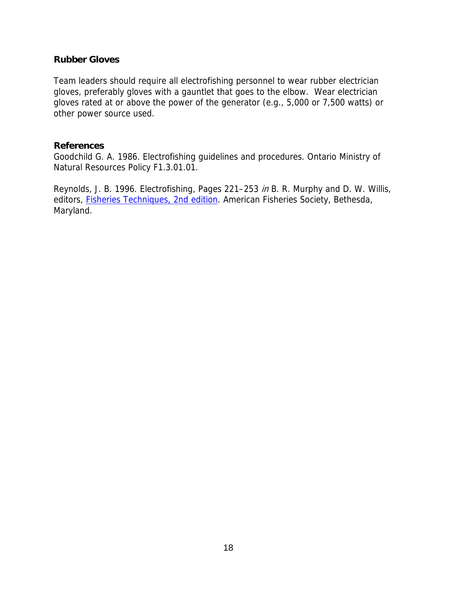#### **Rubber Gloves**

Team leaders should require all electrofishing personnel to wear rubber electrician gloves, preferably gloves with a gauntlet that goes to the elbow. Wear electrician gloves rated at or above the power of the generator (e.g., 5,000 or 7,500 watts) or other power source used.

#### **References**

Goodchild G. A. 1986. Electrofishing guidelines and procedures. Ontario Ministry of Natural Resources Policy F1.3.01.01.

Reynolds, J. B. 1996. Electrofishing, Pages 221–253 in B. R. Murphy and D. W. Willis, editors, [Fisheries Techniques, 2nd edition.](http://www.afsbooks.org/x55029xm.html) American Fisheries Society, Bethesda, Maryland.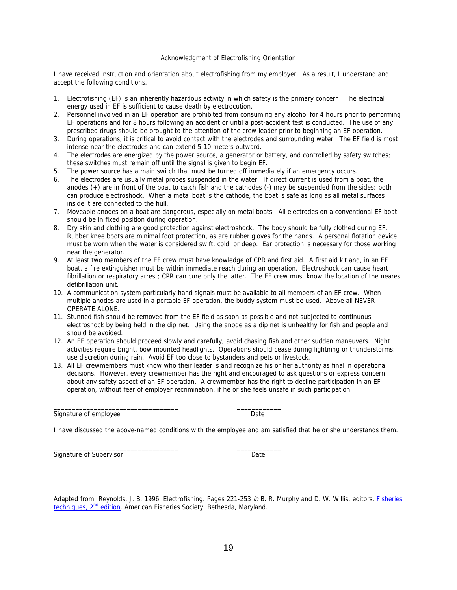#### Acknowledgment of Electrofishing Orientation

I have received instruction and orientation about electrofishing from my employer. As a result, I understand and accept the following conditions.

- 1. Electrofishing (EF) is an inherently hazardous activity in which safety is the primary concern. The electrical energy used in EF is sufficient to cause death by electrocution.
- 2. Personnel involved in an EF operation are prohibited from consuming any alcohol for 4 hours prior to performing EF operations and for 8 hours following an accident or until a post-accident test is conducted. The use of any prescribed drugs should be brought to the attention of the crew leader prior to beginning an EF operation.
- 3. During operations, it is critical to avoid contact with the electrodes and surrounding water. The EF field is most intense near the electrodes and can extend 5-10 meters outward.
- 4. The electrodes are energized by the power source, a generator or battery, and controlled by safety switches; these switches must remain off until the signal is given to begin EF.
- 5. The power source has a main switch that must be turned off immediately if an emergency occurs.
- 6. The electrodes are usually metal probes suspended in the water. If direct current is used from a boat, the anodes (+) are in front of the boat to catch fish and the cathodes (-) may be suspended from the sides; both can produce electroshock. When a metal boat is the cathode, the boat is safe as long as all metal surfaces inside it are connected to the hull.
- 7. Moveable anodes on a boat are dangerous, especially on metal boats. All electrodes on a conventional EF boat should be in fixed position during operation.
- 8. Dry skin and clothing are good protection against electroshock. The body should be fully clothed during EF. Rubber knee boots are minimal foot protection, as are rubber gloves for the hands. A personal flotation device must be worn when the water is considered swift, cold, or deep. Ear protection is necessary for those working near the generator.
- 9. At least two members of the EF crew must have knowledge of CPR and first aid. A first aid kit and, in an EF boat, a fire extinguisher must be within immediate reach during an operation. Electroshock can cause heart fibrillation or respiratory arrest; CPR can cure only the latter. The EF crew must know the location of the nearest defibrillation unit.
- 10. A communication system particularly hand signals must be available to all members of an EF crew. When multiple anodes are used in a portable EF operation, the buddy system must be used. Above all NEVER OPERATE ALONE.
- 11. Stunned fish should be removed from the EF field as soon as possible and not subjected to continuous electroshock by being held in the dip net. Using the anode as a dip net is unhealthy for fish and people and should be avoided.
- 12. An EF operation should proceed slowly and carefully; avoid chasing fish and other sudden maneuvers. Night activities require bright, bow mounted headlights. Operations should cease during lightning or thunderstorms; use discretion during rain. Avoid EF too close to bystanders and pets or livestock.
- 13. All EF crewmembers must know who their leader is and recognize his or her authority as final in operational decisions. However, every crewmember has the right and encouraged to ask questions or express concern about any safety aspect of an EF operation. A crewmember has the right to decline participation in an EF operation, without fear of employer recrimination, if he or she feels unsafe in such participation.

Signature of employee Date

\_\_\_\_\_\_\_\_\_\_\_\_\_\_\_\_\_\_\_\_\_\_\_\_\_\_\_\_\_\_\_\_\_\_ \_\_\_\_\_\_\_\_\_\_\_\_

I have discussed the above-named conditions with the employee and am satisfied that he or she understands them.

\_\_\_\_\_\_\_\_\_\_\_\_\_\_\_\_\_\_\_\_\_\_\_\_\_\_\_\_\_\_\_\_\_\_ \_\_\_\_\_\_\_\_\_\_\_\_

Signature of Supervisor **Date** 

Adapted from: Reynolds, J. B. 1996. Electrofishing. Pages 221-253 in B. R. Murphy and D. W. Willis, editors. *Fisheries* techniques, 2<sup>nd</sup> edition. American Fisheries Society, Bethesda, Maryland.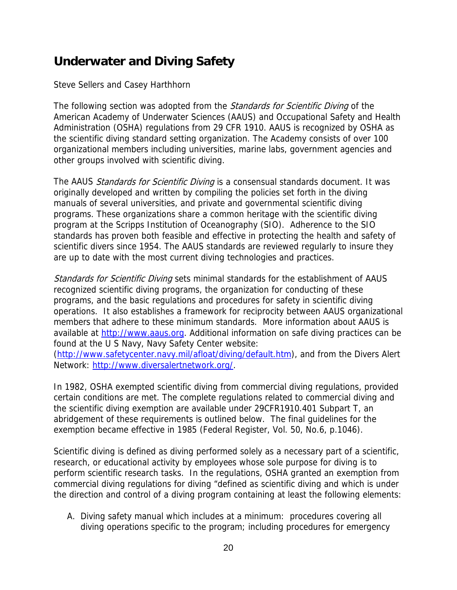# <span id="page-19-0"></span>**Underwater and Diving Safety**

Steve Sellers and Casey Harthhorn

The following section was adopted from the Standards for Scientific Diving of the American Academy of Underwater Sciences (AAUS) and Occupational Safety and Health Administration (OSHA) regulations from 29 CFR 1910. AAUS is recognized by OSHA as the scientific diving standard setting organization. The Academy consists of over 100 organizational members including universities, marine labs, government agencies and other groups involved with scientific diving.

The AAUS Standards for Scientific Diving is a consensual standards document. It was originally developed and written by compiling the policies set forth in the diving manuals of several universities, and private and governmental scientific diving programs. These organizations share a common heritage with the scientific diving program at the Scripps Institution of Oceanography (SIO). Adherence to the SIO standards has proven both feasible and effective in protecting the health and safety of scientific divers since 1954. The AAUS standards are reviewed regularly to insure they are up to date with the most current diving technologies and practices.

Standards for Scientific Diving sets minimal standards for the establishment of AAUS recognized scientific diving programs, the organization for conducting of these programs, and the basic regulations and procedures for safety in scientific diving operations. It also establishes a framework for reciprocity between AAUS organizational members that adhere to these minimum standards. More information about AAUS is available at http://www.aaus.org. Additional information on safe diving practices can be found at the U S Navy, Navy Safety Center website:

(http://www.safetycenter.navy.mil/afloat/diving/default.htm), and from the Divers Alert Network: http://www.diversalertnetwork.org/.

In 1982, OSHA exempted scientific diving from commercial diving regulations, provided certain conditions are met. The complete regulations related to commercial diving and the scientific diving exemption are available under 29CFR1910.401 Subpart T, an abridgement of these requirements is outlined below. The final guidelines for the exemption became effective in 1985 (Federal Register, Vol. 50, No.6, p.1046).

Scientific diving is defined as diving performed solely as a necessary part of a scientific, research, or educational activity by employees whose sole purpose for diving is to perform scientific research tasks. In the regulations, OSHA granted an exemption from commercial diving regulations for diving "defined as scientific diving and which is under the direction and control of a diving program containing at least the following elements:

A. Diving safety manual which includes at a minimum: procedures covering all diving operations specific to the program; including procedures for emergency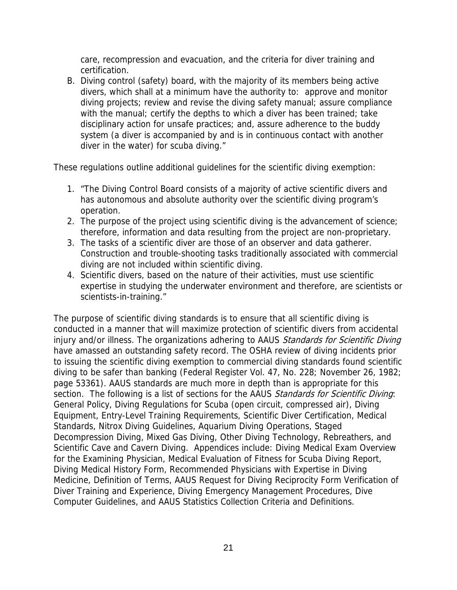care, recompression and evacuation, and the criteria for diver training and certification.

B. Diving control (safety) board, with the majority of its members being active divers, which shall at a minimum have the authority to: approve and monitor diving projects; review and revise the diving safety manual; assure compliance with the manual; certify the depths to which a diver has been trained; take disciplinary action for unsafe practices; and, assure adherence to the buddy system (a diver is accompanied by and is in continuous contact with another diver in the water) for scuba diving."

These regulations outline additional guidelines for the scientific diving exemption:

- 1. "The Diving Control Board consists of a majority of active scientific divers and has autonomous and absolute authority over the scientific diving program's operation.
- 2. The purpose of the project using scientific diving is the advancement of science; therefore, information and data resulting from the project are non-proprietary.
- 3. The tasks of a scientific diver are those of an observer and data gatherer. Construction and trouble-shooting tasks traditionally associated with commercial diving are not included within scientific diving.
- 4. Scientific divers, based on the nature of their activities, must use scientific expertise in studying the underwater environment and therefore, are scientists or scientists-in-training."

The purpose of scientific diving standards is to ensure that all scientific diving is conducted in a manner that will maximize protection of scientific divers from accidental injury and/or illness. The organizations adhering to AAUS Standards for Scientific Diving have amassed an outstanding safety record. The OSHA review of diving incidents prior to issuing the scientific diving exemption to commercial diving standards found scientific diving to be safer than banking (Federal Register Vol. 47, No. 228; November 26, 1982; page 53361). AAUS standards are much more in depth than is appropriate for this section. The following is a list of sections for the AAUS Standards for Scientific Diving: General Policy, Diving Regulations for Scuba (open circuit, compressed air), Diving Equipment, Entry-Level Training Requirements, Scientific Diver Certification, Medical Standards, Nitrox Diving Guidelines, Aquarium Diving Operations, Staged Decompression Diving, Mixed Gas Diving, Other Diving Technology, Rebreathers, and Scientific Cave and Cavern Diving. Appendices include: Diving Medical Exam Overview for the Examining Physician, Medical Evaluation of Fitness for Scuba Diving Report, Diving Medical History Form, Recommended Physicians with Expertise in Diving Medicine, Definition of Terms, AAUS Request for Diving Reciprocity Form Verification of Diver Training and Experience, Diving Emergency Management Procedures, Dive Computer Guidelines, and AAUS Statistics Collection Criteria and Definitions.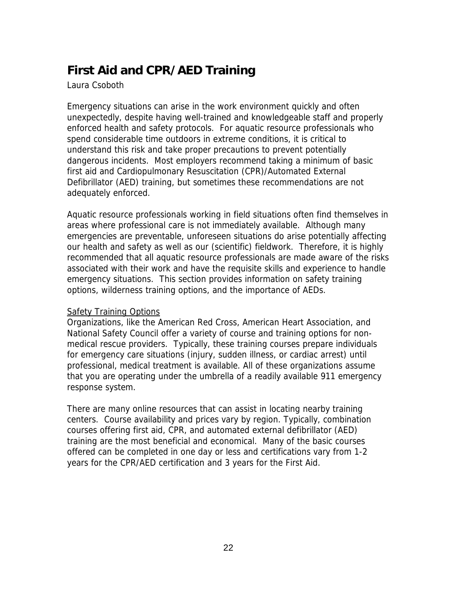# <span id="page-21-0"></span>**First Aid and CPR/AED Training**

## Laura Csoboth

Emergency situations can arise in the work environment quickly and often unexpectedly, despite having well-trained and knowledgeable staff and properly enforced health and safety protocols. For aquatic resource professionals who spend considerable time outdoors in extreme conditions, it is critical to understand this risk and take proper precautions to prevent potentially dangerous incidents. Most employers recommend taking a minimum of basic first aid and Cardiopulmonary Resuscitation (CPR)/Automated External Defibrillator (AED) training, but sometimes these recommendations are not adequately enforced.

Aquatic resource professionals working in field situations often find themselves in areas where professional care is not immediately available. Although many emergencies are preventable, unforeseen situations do arise potentially affecting our health and safety as well as our (scientific) fieldwork. Therefore, it is highly recommended that all aquatic resource professionals are made aware of the risks associated with their work and have the requisite skills and experience to handle emergency situations. This section provides information on safety training options, wilderness training options, and the importance of AEDs.

#### Safety Training Options

Organizations, like the American Red Cross, American Heart Association, and National Safety Council offer a variety of course and training options for nonmedical rescue providers. Typically, these training courses prepare individuals for emergency care situations (injury, sudden illness, or cardiac arrest) until professional, medical treatment is available. All of these organizations assume that you are operating under the umbrella of a readily available 911 emergency response system.

There are many online resources that can assist in locating nearby training centers. Course availability and prices vary by region. Typically, combination courses offering first aid, CPR, and automated external defibrillator (AED) training are the most beneficial and economical. Many of the basic courses offered can be completed in one day or less and certifications vary from 1-2 years for the CPR/AED certification and 3 years for the First Aid.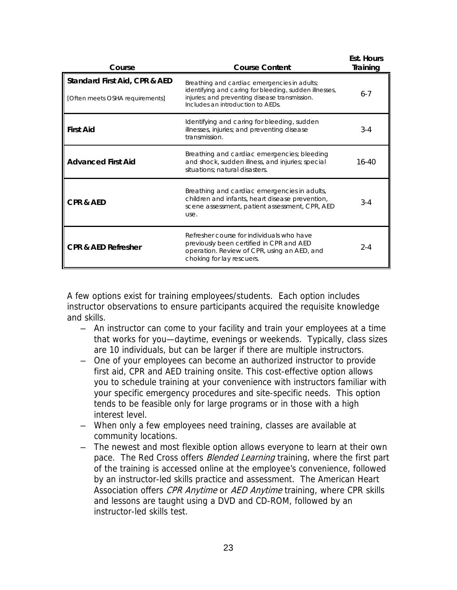| Course                                                           | <b>Course Content</b>                                                                                                                                                                         | <b>Est. Hours</b><br>Training |
|------------------------------------------------------------------|-----------------------------------------------------------------------------------------------------------------------------------------------------------------------------------------------|-------------------------------|
| Standard First Aid, CPR & AED<br>[Often meets OSHA requirements] | Breathing and cardiac emergencies in adults;<br>identifying and caring for bleeding, sudden illnesses,<br>injuries; and preventing disease transmission.<br>Includes an introduction to AEDs. | $6 - 7$                       |
| <b>First Aid</b>                                                 | Identifying and caring for bleeding, sudden<br>illnesses, injuries; and preventing disease<br>transmission.                                                                                   | $3 - 4$                       |
| <b>Advanced First Aid</b>                                        | Breathing and cardiac emergencies; bleeding<br>and shock, sudden illness, and injuries; special<br>situations: natural disasters.                                                             | $16-40$                       |
| <b>CPR &amp; AED</b>                                             | Breathing and cardiac emergencies in adults,<br>children and infants, heart disease prevention,<br>scene assessment, patient assessment, CPR, AED<br>use.                                     | $3 - 4$                       |
| <b>CPR &amp; AED Refresher</b>                                   | Refresher course for individuals who have<br>previously been certified in CPR and AED<br>operation. Review of CPR, using an AED, and<br>choking for lay rescuers.                             | $2 - 4$                       |

A few options exist for training employees/students. Each option includes instructor observations to ensure participants acquired the requisite knowledge and skills.

- An instructor can come to your facility and train your employees at a time that works for you—daytime, evenings or weekends. Typically, class sizes are 10 individuals, but can be larger if there are multiple instructors.
- One of your employees can become an authorized instructor to provide first aid, CPR and AED training onsite. This cost-effective option allows you to schedule training at your convenience with instructors familiar with your specific emergency procedures and site-specific needs. This option tends to be feasible only for large programs or in those with a high interest level.
- When only a few employees need training, classes are available at community locations.
- The newest and most flexible option allows everyone to learn at their own pace. The Red Cross offers *Blended Learning* training, where the first part of the training is accessed online at the employee's convenience, followed by an instructor-led skills practice and assessment. The American Heart Association offers CPR Anytime or AED Anytime training, where CPR skills and lessons are taught using a DVD and CD-ROM, followed by an instructor-led skills test.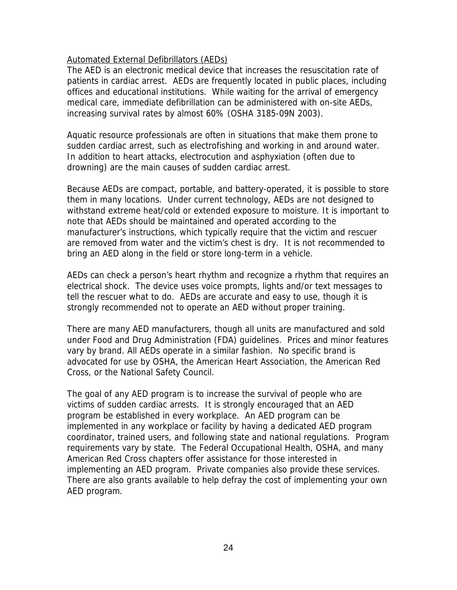### Automated External Defibrillators (AEDs)

The AED is an electronic medical device that increases the resuscitation rate of patients in cardiac arrest. AEDs are frequently located in public places, including offices and educational institutions. While waiting for the arrival of emergency medical care, immediate defibrillation can be administered with on-site AEDs, increasing survival rates by almost 60% (OSHA 3185-09N 2003).

Aquatic resource professionals are often in situations that make them prone to sudden cardiac arrest, such as electrofishing and working in and around water. In addition to heart attacks, electrocution and asphyxiation (often due to drowning) are the main causes of sudden cardiac arrest.

Because AEDs are compact, portable, and battery-operated, it is possible to store them in many locations. Under current technology, AEDs are not designed to withstand extreme heat/cold or extended exposure to moisture. It is important to note that AEDs should be maintained and operated according to the manufacturer's instructions, which typically require that the victim and rescuer are removed from water and the victim's chest is dry. It is not recommended to bring an AED along in the field or store long-term in a vehicle.

AEDs can check a person's heart rhythm and recognize a rhythm that requires an electrical shock. The device uses voice prompts, lights and/or text messages to tell the rescuer what to do. AEDs are accurate and easy to use, though it is strongly recommended not to operate an AED without proper training.

There are many AED manufacturers, though all units are manufactured and sold under Food and Drug Administration (FDA) guidelines. Prices and minor features vary by brand. All AEDs operate in a similar fashion. No specific brand is advocated for use by OSHA, the American Heart Association, the American Red Cross, or the National Safety Council.

The goal of any AED program is to increase the survival of people who are victims of sudden cardiac arrests. It is strongly encouraged that an AED program be established in every workplace. An AED program can be implemented in any workplace or facility by having a dedicated AED program coordinator, trained users, and following state and national regulations. Program requirements vary by state. The Federal Occupational Health, OSHA, and many American Red Cross chapters offer assistance for those interested in implementing an AED program. Private companies also provide these services. There are also grants available to help defray the cost of implementing your own AED program.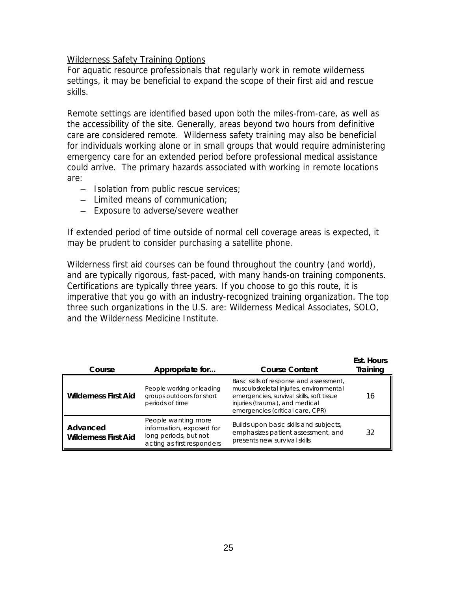Wilderness Safety Training Options

For aquatic resource professionals that regularly work in remote wilderness settings, it may be beneficial to expand the scope of their first aid and rescue skills.

Remote settings are identified based upon both the miles-from-care, as well as the accessibility of the site. Generally, areas beyond two hours from definitive care are considered remote. Wilderness safety training may also be beneficial for individuals working alone or in small groups that would require administering emergency care for an extended period before professional medical assistance could arrive. The primary hazards associated with working in remote locations are:

- Isolation from public rescue services;
- Limited means of communication;
- Exposure to adverse/severe weather

If extended period of time outside of normal cell coverage areas is expected, it may be prudent to consider purchasing a satellite phone.

Wilderness first aid courses can be found throughout the country (and world), and are typically rigorous, fast-paced, with many hands-on training components. Certifications are typically three years. If you choose to go this route, it is imperative that you go with an industry-recognized training organization. The top three such organizations in the U.S. are: Wilderness Medical Associates, SOLO, and the Wilderness Medicine Institute.

| Course                                  | Appropriate for                                                                                        | <b>Course Content</b>                                                                                                                                                                                  | <b>Est. Hours</b><br><b>Training</b> |
|-----------------------------------------|--------------------------------------------------------------------------------------------------------|--------------------------------------------------------------------------------------------------------------------------------------------------------------------------------------------------------|--------------------------------------|
| <b>Wilderness First Aid</b>             | People working or leading<br>groups outdoors for short<br>periods of time                              | Basic skills of response and assessment,<br>musculoskeletal injuries, environmental<br>emergencies, survival skills, soft tissue<br>injuries (trauma), and medical<br>emergencies (critical care, CPR) | 16                                   |
| Advanced<br><b>Wilderness First Aid</b> | People wanting more<br>information, exposed for<br>long periods, but not<br>acting as first responders | Builds upon basic skills and subjects,<br>emphasizes patient assessment, and<br>presents new survival skills                                                                                           | 32                                   |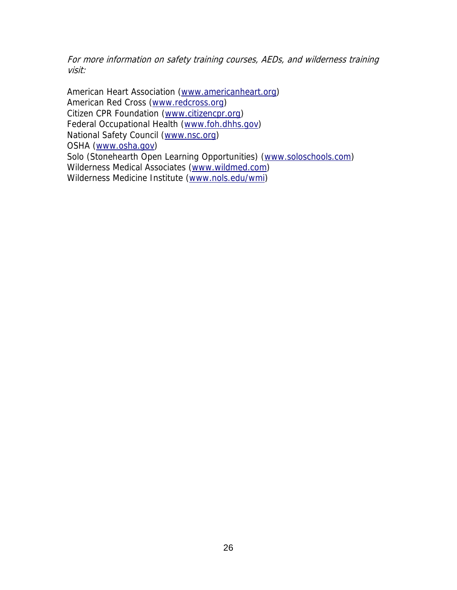For more information on safety training courses, AEDs, and wilderness training visit:

American Heart Association (www.americanheart.org) American Red Cross (www.redcross.org) Citizen CPR Foundation (www.citizencpr.org) Federal Occupational Health (www.foh.dhhs.gov) National Safety Council (www.nsc.org) OSHA (www.osha.gov) Solo (Stonehearth Open Learning Opportunities) (www.soloschools.com) Wilderness Medical Associates (www.wildmed.com) Wilderness Medicine Institute (www.nols.edu/wmi)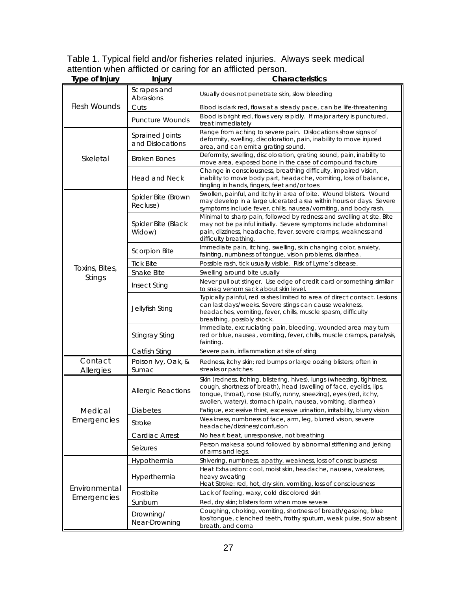| Type of Injury               | <b>Injury</b>                       | Characteristics                                                                                                                                                                                                                                                                      |  |  |  |
|------------------------------|-------------------------------------|--------------------------------------------------------------------------------------------------------------------------------------------------------------------------------------------------------------------------------------------------------------------------------------|--|--|--|
|                              | Scrapes and<br>Abrasions            | Usually does not penetrate skin, slow bleeding                                                                                                                                                                                                                                       |  |  |  |
| Flesh Wounds                 | Cuts                                | Blood is dark red, flows at a steady pace, can be life-threatening                                                                                                                                                                                                                   |  |  |  |
|                              | <b>Puncture Wounds</b>              | Blood is bright red, flows very rapidly. If major artery is punctured,<br>treat immediately                                                                                                                                                                                          |  |  |  |
|                              | Sprained Joints<br>and Dislocations | Range from aching to severe pain. Dislocations show signs of<br>deformity, swelling, discoloration, pain, inability to move injured<br>area, and can emit a grating sound.                                                                                                           |  |  |  |
| Skeletal                     | <b>Broken Bones</b>                 | Deformity, swelling, discoloration, grating sound, pain, inability to<br>move area, exposed bone in the case of compound fracture                                                                                                                                                    |  |  |  |
|                              | <b>Head and Neck</b>                | Change in consciousness, breathing difficulty, impaired vision,<br>inability to move body part, headache, vomiting, loss of balance,<br>tingling in hands, fingers, feet and/or toes                                                                                                 |  |  |  |
|                              | Spider Bite (Brown<br>Recluse)      | Swollen, painful, and itchy in area of bite. Wound blisters. Wound<br>may develop in a large ulcerated area within hours or days. Severe<br>symptoms include fever, chills, nausea/vomiting, and body rash.                                                                          |  |  |  |
|                              | Spider Bite (Black<br>Widow)        | Minimal to sharp pain, followed by redness and swelling at site. Bite<br>may not be painful initially. Severe symptoms include abdominal<br>pain, dizziness, headache, fever, severe cramps, weakness and<br>difficulty breathing.                                                   |  |  |  |
|                              | <b>Scorpion Bite</b>                | Immediate pain, itching, swelling, skin changing color, anxiety,<br>fainting, numbness of tongue, vision problems, diarrhea.                                                                                                                                                         |  |  |  |
| Toxins, Bites,               | <b>Tick Bite</b>                    | Possible rash, tick usually visible. Risk of Lyme's disease.                                                                                                                                                                                                                         |  |  |  |
| Stings                       | Snake Bite                          | Swelling around bite usually                                                                                                                                                                                                                                                         |  |  |  |
|                              | <b>Insect Sting</b>                 | Never pull out stinger. Use edge of credit card or something similar<br>to snag venom sack about skin level.                                                                                                                                                                         |  |  |  |
|                              | Jellyfish Sting                     | Typically painful, red rashes limited to area of direct contact. Lesions<br>can last days/weeks. Severe stings can cause weakness,<br>headaches, vomiting, fever, chills, muscle spasm, difficulty<br>breathing, possibly shock.                                                     |  |  |  |
|                              | <b>Stingray Sting</b>               | Immediate, excruciating pain, bleeding, wounded area may turn<br>red or blue, nausea, vomiting, fever, chills, muscle cramps, paralysis,<br>fainting.                                                                                                                                |  |  |  |
|                              | Catfish Sting                       | Severe pain, inflammation at site of sting                                                                                                                                                                                                                                           |  |  |  |
| Contact<br>Allergies         | Poison Ivy, Oak, &<br>Sumac         | Redness, itchy skin; red bumps or large oozing blisters; often in<br>streaks or patches                                                                                                                                                                                              |  |  |  |
|                              | <b>Allergic Reactions</b>           | Skin (redness, itching, blistering, hives), lungs (wheezing, tightness,<br>cough, shortness of breath), head (swelling of face, eyelids, lips,<br>tongue, throat), nose (stuffy, runny, sneezing), eyes (red, itchy,<br>swollen, watery), stomach (pain, nausea, vomiting, diarrhea) |  |  |  |
| Medical                      | <b>Diabetes</b>                     | Fatigue, excessive thirst, excessive urination, irritability, blurry vision                                                                                                                                                                                                          |  |  |  |
| Emergencies                  | <b>Stroke</b>                       | Weakness, numbness of face, arm, leg, blurred vision, severe<br>headache/dizziness/confusion                                                                                                                                                                                         |  |  |  |
|                              | Cardiac Arrest                      | No heart beat, unresponsive, not breathing                                                                                                                                                                                                                                           |  |  |  |
|                              | Seizures                            | Person makes a sound followed by abnormal stiffening and jerking<br>of arms and legs.                                                                                                                                                                                                |  |  |  |
|                              | Hypothermia                         | Shivering, numbness, apathy, weakness, loss of consciousness                                                                                                                                                                                                                         |  |  |  |
|                              | Hyperthermia                        | Heat Exhaustion: cool, moist skin, headache, nausea, weakness,<br>heavy sweating<br>Heat Stroke: red, hot, dry skin, vomiting, loss of consciousness                                                                                                                                 |  |  |  |
| Environmental<br>Emergencies | Frostbite                           | Lack of feeling, waxy, cold discolored skin                                                                                                                                                                                                                                          |  |  |  |
|                              | Sunburn                             | Red, dry skin; blisters form when more severe                                                                                                                                                                                                                                        |  |  |  |
|                              | Drowning/<br>Near-Drowning          | Coughing, choking, vomiting, shortness of breath/gasping, blue<br>lips/tongue, clenched teeth, frothy sputum, weak pulse, slow absent<br>breath, and coma                                                                                                                            |  |  |  |

Table 1. Typical field and/or fisheries related injuries. Always seek medical attention when afflicted or caring for an afflicted person.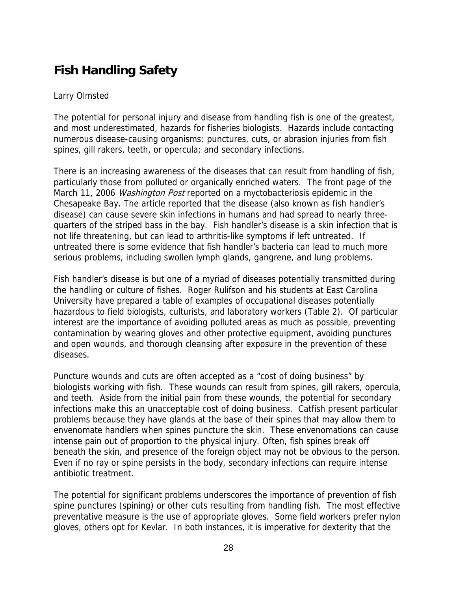# <span id="page-27-0"></span>**Fish Handling Safety**

## Larry Olmsted

The potential for personal injury and disease from handling fish is one of the greatest, and most underestimated, hazards for fisheries biologists. Hazards include contacting numerous disease-causing organisms; punctures, cuts, or abrasion injuries from fish spines, gill rakers, teeth, or opercula; and secondary infections.

There is an increasing awareness of the diseases that can result from handling of fish, particularly those from polluted or organically enriched waters. The front page of the March 11, 2006 *Washington Post* reported on a myctobacteriosis epidemic in the Chesapeake Bay. The article reported that the disease (also known as fish handler's disease) can cause severe skin infections in humans and had spread to nearly threequarters of the striped bass in the bay. Fish handler's disease is a skin infection that is not life threatening, but can lead to arthritis-like symptoms if left untreated. If untreated there is some evidence that fish handler's bacteria can lead to much more serious problems, including swollen lymph glands, gangrene, and lung problems.

Fish handler's disease is but one of a myriad of diseases potentially transmitted during the handling or culture of fishes. Roger Rulifson and his students at East Carolina University have prepared a table of examples of occupational diseases potentially hazardous to field biologists, culturists, and laboratory workers (Table 2). Of particular interest are the importance of avoiding polluted areas as much as possible, preventing contamination by wearing gloves and other protective equipment, avoiding punctures and open wounds, and thorough cleansing after exposure in the prevention of these diseases.

Puncture wounds and cuts are often accepted as a "cost of doing business" by biologists working with fish. These wounds can result from spines, gill rakers, opercula, and teeth. Aside from the initial pain from these wounds, the potential for secondary infections make this an unacceptable cost of doing business. Catfish present particular problems because they have glands at the base of their spines that may allow them to envenomate handlers when spines puncture the skin. These envenomations can cause intense pain out of proportion to the physical injury. Often, fish spines break off beneath the skin, and presence of the foreign object may not be obvious to the person. Even if no ray or spine persists in the body, secondary infections can require intense antibiotic treatment.

The potential for significant problems underscores the importance of prevention of fish spine punctures (spining) or other cuts resulting from handling fish. The most effective preventative measure is the use of appropriate gloves. Some field workers prefer nylon gloves, others opt for Kevlar. In both instances, it is imperative for dexterity that the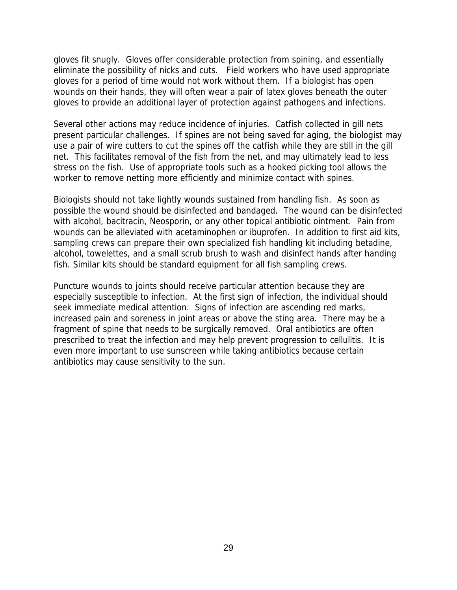gloves fit snugly. Gloves offer considerable protection from spining, and essentially eliminate the possibility of nicks and cuts. Field workers who have used appropriate gloves for a period of time would not work without them. If a biologist has open wounds on their hands, they will often wear a pair of latex gloves beneath the outer gloves to provide an additional layer of protection against pathogens and infections.

Several other actions may reduce incidence of injuries. Catfish collected in gill nets present particular challenges. If spines are not being saved for aging, the biologist may use a pair of wire cutters to cut the spines off the catfish while they are still in the gill net. This facilitates removal of the fish from the net, and may ultimately lead to less stress on the fish. Use of appropriate tools such as a hooked picking tool allows the worker to remove netting more efficiently and minimize contact with spines.

Biologists should not take lightly wounds sustained from handling fish. As soon as possible the wound should be disinfected and bandaged. The wound can be disinfected with alcohol, bacitracin, Neosporin, or any other topical antibiotic ointment. Pain from wounds can be alleviated with acetaminophen or ibuprofen. In addition to first aid kits, sampling crews can prepare their own specialized fish handling kit including betadine, alcohol, towelettes, and a small scrub brush to wash and disinfect hands after handing fish. Similar kits should be standard equipment for all fish sampling crews.

Puncture wounds to joints should receive particular attention because they are especially susceptible to infection. At the first sign of infection, the individual should seek immediate medical attention. Signs of infection are ascending red marks, increased pain and soreness in joint areas or above the sting area. There may be a fragment of spine that needs to be surgically removed. Oral antibiotics are often prescribed to treat the infection and may help prevent progression to cellulitis. It is even more important to use sunscreen while taking antibiotics because certain antibiotics may cause sensitivity to the sun.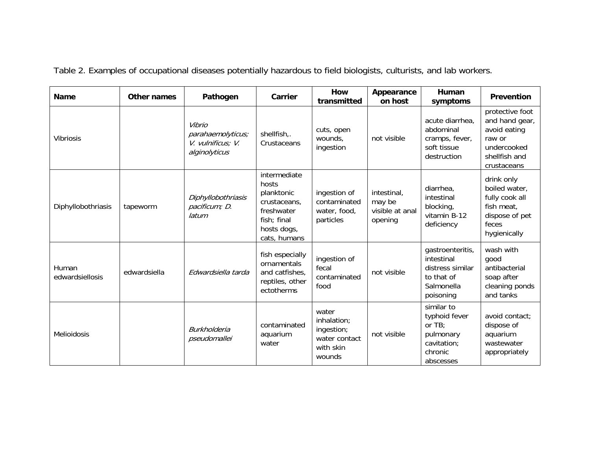| <b>Name</b>              | Other names  | Pathogen                                                          | Carrier                                                                                                         | How<br>transmitted                                                         | Appearance<br>on host                               | Human<br>symptoms                                                                            | <b>Prevention</b>                                                                                          |
|--------------------------|--------------|-------------------------------------------------------------------|-----------------------------------------------------------------------------------------------------------------|----------------------------------------------------------------------------|-----------------------------------------------------|----------------------------------------------------------------------------------------------|------------------------------------------------------------------------------------------------------------|
| Vibriosis                |              | Vibrio<br>parahaemolyticus;<br>V. vulnificus; V.<br>alginolyticus | shellfish,.<br>Crustaceans                                                                                      | cuts, open<br>wounds,<br>ingestion                                         | not visible                                         | acute diarrhea,<br>abdominal<br>cramps, fever,<br>soft tissue<br>destruction                 | protective foot<br>and hand gear,<br>avoid eating<br>raw or<br>undercooked<br>shellfish and<br>crustaceans |
| Diphyllobothriasis       | tapeworm     | Diphyllobothriasis<br>pacificum; D.<br>latum                      | intermediate<br>hosts<br>planktonic<br>crustaceans,<br>freshwater<br>fish; final<br>hosts dogs,<br>cats, humans | ingestion of<br>contaminated<br>water, food,<br>particles                  | intestinal,<br>may be<br>visible at anal<br>opening | diarrhea,<br>intestinal<br>blocking,<br>vitamin B-12<br>deficiency                           | drink only<br>boiled water,<br>fully cook all<br>fish meat,<br>dispose of pet<br>feces<br>hygienically     |
| Human<br>edwardsiellosis | edwardsiella | Edwardsiella tarda                                                | fish especially<br>ornamentals<br>and catfishes,<br>reptiles, other<br>ectotherms                               | ingestion of<br>fecal<br>contaminated<br>food                              | not visible                                         | gastroenteritis,<br>intestinal<br>distress similar<br>to that of<br>Salmonella<br>poisoning  | wash with<br>qood<br>antibacterial<br>soap after<br>cleaning ponds<br>and tanks                            |
| Melioidosis              |              | Burkholderia<br>pseudomallei                                      | contaminated<br>aquarium<br>water                                                                               | water<br>inhalation;<br>ingestion;<br>water contact<br>with skin<br>wounds | not visible                                         | similar to<br>typhoid fever<br>or $TB$ ;<br>pulmonary<br>cavitation;<br>chronic<br>abscesses | avoid contact;<br>dispose of<br>aquarium<br>wastewater<br>appropriately                                    |

Table 2. Examples of occupational diseases potentially hazardous to field biologists, culturists, and lab workers.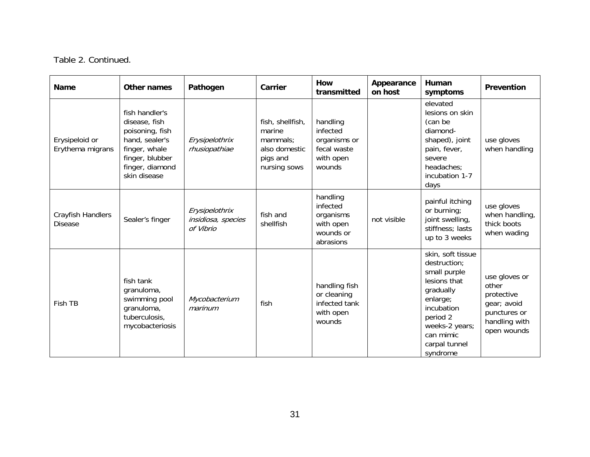#### Table 2. Continued.

| <b>Name</b>                         | Other names                                                                                                                                 | Pathogen                                          | Carrier                                                                             | <b>How</b><br>transmitted                                                  | Appearance<br>on host | Human<br>symptoms                                                                                                                                                                | Prevention                                                                                          |
|-------------------------------------|---------------------------------------------------------------------------------------------------------------------------------------------|---------------------------------------------------|-------------------------------------------------------------------------------------|----------------------------------------------------------------------------|-----------------------|----------------------------------------------------------------------------------------------------------------------------------------------------------------------------------|-----------------------------------------------------------------------------------------------------|
| Erysipeloid or<br>Erythema migrans  | fish handler's<br>disease, fish<br>poisoning, fish<br>hand, sealer's<br>finger, whale<br>finger, blubber<br>finger, diamond<br>skin disease | Erysipelothrix<br>rhusiopathiae                   | fish, shellfish,<br>marine<br>mammals;<br>also domestic<br>pigs and<br>nursing sows | handling<br>infected<br>organisms or<br>fecal waste<br>with open<br>wounds |                       | elevated<br>lesions on skin<br>(can be<br>diamond-<br>shaped), joint<br>pain, fever,<br>severe<br>headaches;<br>incubation 1-7<br>days                                           | use gloves<br>when handling                                                                         |
| Crayfish Handlers<br><b>Disease</b> | Sealer's finger                                                                                                                             | Erysipelothrix<br>insidiosa, species<br>of Vibrio | fish and<br>shellfish                                                               | handling<br>infected<br>organisms<br>with open<br>wounds or<br>abrasions   | not visible           | painful itching<br>or burning;<br>joint swelling,<br>stiffness; lasts<br>up to 3 weeks                                                                                           | use gloves<br>when handling,<br>thick boots<br>when wading                                          |
| Fish TB                             | fish tank<br>granuloma,<br>swimming pool<br>granuloma,<br>tuberculosis,<br>mycobacteriosis                                                  | Mycobacterium<br>marinum                          | fish                                                                                | handling fish<br>or cleaning<br>infected tank<br>with open<br>wounds       |                       | skin, soft tissue<br>destruction;<br>small purple<br>lesions that<br>gradually<br>enlarge;<br>incubation<br>period 2<br>weeks-2 years;<br>can mimic<br>carpal tunnel<br>syndrome | use gloves or<br>other<br>protective<br>gear; avoid<br>punctures or<br>handling with<br>open wounds |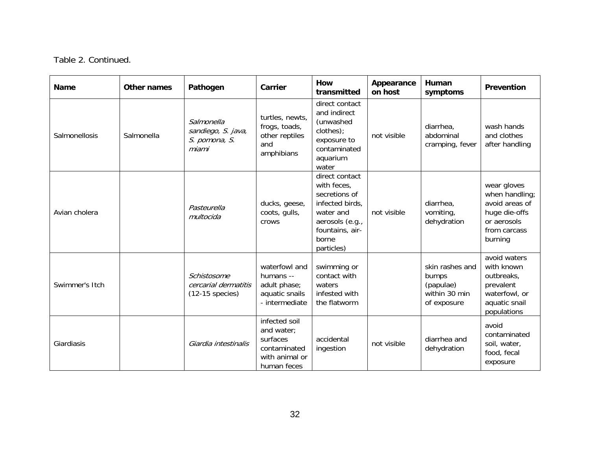#### Table 2. Continued.

| <b>Name</b>    | <b>Other names</b> | Pathogen                                                   | Carrier                                                                                  | <b>How</b><br>transmitted                                                                                                                   | Appearance<br>on host | Human<br>symptoms                                                     | Prevention                                                                                                 |
|----------------|--------------------|------------------------------------------------------------|------------------------------------------------------------------------------------------|---------------------------------------------------------------------------------------------------------------------------------------------|-----------------------|-----------------------------------------------------------------------|------------------------------------------------------------------------------------------------------------|
| Salmonellosis  | Salmonella         | Salmonella<br>sandiego, S. java,<br>S. pomona, S.<br>miami | turtles, newts,<br>frogs, toads,<br>other reptiles<br>and<br>amphibians                  | direct contact<br>and indirect<br>(unwashed<br>clothes);<br>exposure to<br>contaminated<br>aquarium<br>water                                | not visible           | diarrhea,<br>abdominal<br>cramping, fever                             | wash hands<br>and clothes<br>after handling                                                                |
| Avian cholera  |                    | Pasteurella<br>multocida                                   | ducks, geese,<br>coots, gulls,<br>crows                                                  | direct contact<br>with feces,<br>secretions of<br>infected birds,<br>water and<br>aerosols (e.g.,<br>fountains, air-<br>borne<br>particles) | not visible           | diarrhea,<br>vomiting,<br>dehydration                                 | wear gloves<br>when handling;<br>avoid areas of<br>huge die-offs<br>or aerosols<br>from carcass<br>burning |
| Swimmer's Itch |                    | Schistosome<br>cercarial dermatitis<br>$(12-15$ species)   | waterfowl and<br>humans --<br>adult phase;<br>aquatic snails<br>- intermediate           | swimming or<br>contact with<br>waters<br>infested with<br>the flatworm                                                                      |                       | skin rashes and<br>bumps<br>(papulae)<br>within 30 min<br>of exposure | avoid waters<br>with known<br>outbreaks,<br>prevalent<br>waterfowl, or<br>aquatic snail<br>populations     |
| Giardiasis     |                    | Giardia intestinalis                                       | infected soil<br>and water;<br>surfaces<br>contaminated<br>with animal or<br>human feces | accidental<br>ingestion                                                                                                                     | not visible           | diarrhea and<br>dehydration                                           | avoid<br>contaminated<br>soil, water,<br>food, fecal<br>exposure                                           |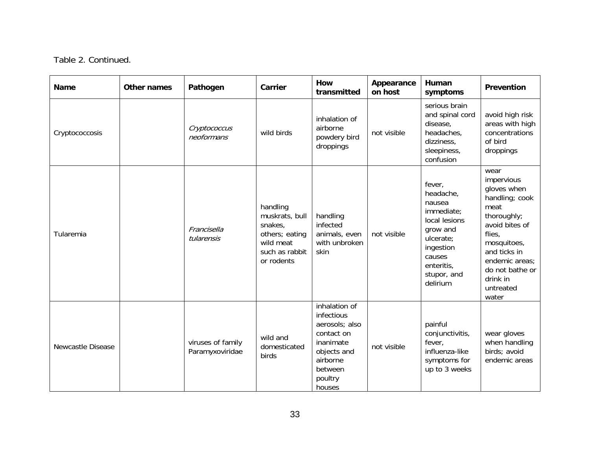#### Table 2. Continued.

| Name              | <b>Other names</b> | Pathogen                             | Carrier                                                                                              | How<br>transmitted                                                                                                                  | Appearance<br>on host | Human<br>symptoms                                                                                                                                     | Prevention                                                                                                                                                                                                   |
|-------------------|--------------------|--------------------------------------|------------------------------------------------------------------------------------------------------|-------------------------------------------------------------------------------------------------------------------------------------|-----------------------|-------------------------------------------------------------------------------------------------------------------------------------------------------|--------------------------------------------------------------------------------------------------------------------------------------------------------------------------------------------------------------|
| Cryptococcosis    |                    | Cryptococcus<br>neoformans           | wild birds                                                                                           | inhalation of<br>airborne<br>powdery bird<br>droppings                                                                              | not visible           | serious brain<br>and spinal cord<br>disease,<br>headaches,<br>dizziness,<br>sleepiness,<br>confusion                                                  | avoid high risk<br>areas with high<br>concentrations<br>of bird<br>droppings                                                                                                                                 |
| Tularemia         |                    | Francisella<br>tularensis            | handling<br>muskrats, bull<br>snakes,<br>others; eating<br>wild meat<br>such as rabbit<br>or rodents | handling<br>infected<br>animals, even<br>with unbroken<br>skin                                                                      | not visible           | fever,<br>headache,<br>nausea<br>immediate;<br>local lesions<br>grow and<br>ulcerate;<br>ingestion<br>causes<br>enteritis,<br>stupor, and<br>delirium | wear<br>impervious<br>gloves when<br>handling; cook<br>meat<br>thoroughly;<br>avoid bites of<br>flies,<br>mosquitoes,<br>and ticks in<br>endemic areas;<br>do not bathe or<br>drink in<br>untreated<br>water |
| Newcastle Disease |                    | viruses of family<br>Paramyxoviridae | wild and<br>domesticated<br>birds                                                                    | inhalation of<br>infectious<br>aerosols; also<br>contact on<br>inanimate<br>objects and<br>airborne<br>between<br>poultry<br>houses | not visible           | painful<br>conjunctivitis,<br>fever,<br>influenza-like<br>symptoms for<br>up to 3 weeks                                                               | wear gloves<br>when handling<br>birds; avoid<br>endemic areas                                                                                                                                                |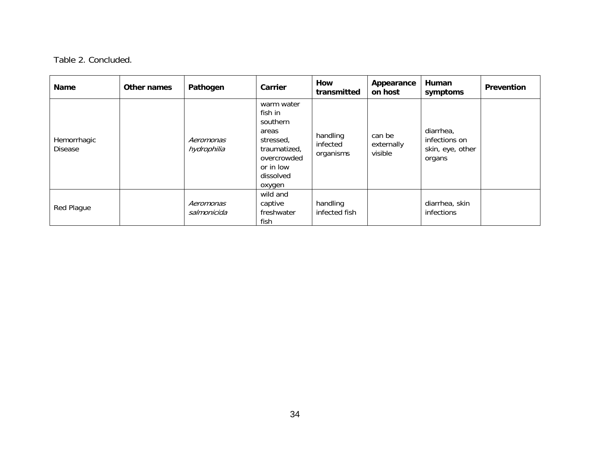#### Table 2. Concluded.

| <b>Name</b>                   | Other names | Pathogen                 | Carrier                                                                                                                    | How<br>transmitted                | Appearance<br>on host           | Human<br>symptoms                                        | Prevention |
|-------------------------------|-------------|--------------------------|----------------------------------------------------------------------------------------------------------------------------|-----------------------------------|---------------------------------|----------------------------------------------------------|------------|
| Hemorrhagic<br><b>Disease</b> |             | Aeromonas<br>hydrophilia | warm water<br>fish in<br>southern<br>areas<br>stressed,<br>traumatized,<br>overcrowded<br>or in low<br>dissolved<br>oxygen | handling<br>infected<br>organisms | can be<br>externally<br>visible | diarrhea,<br>infections on<br>skin, eye, other<br>organs |            |
| Red Plague                    |             | Aeromonas<br>salmonicida | wild and<br>captive<br>freshwater<br>fish                                                                                  | handling<br>infected fish         |                                 | diarrhea, skin<br>infections                             |            |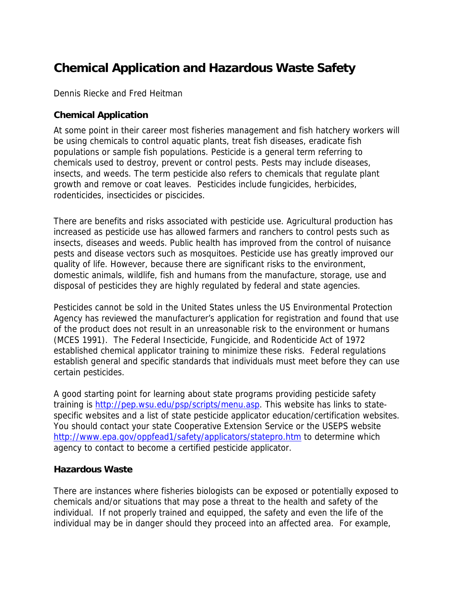# <span id="page-34-0"></span>**Chemical Application and Hazardous Waste Safety**

Dennis Riecke and Fred Heitman

## **Chemical Application**

At some point in their career most fisheries management and fish hatchery workers will be using chemicals to control aquatic plants, treat fish diseases, eradicate fish populations or sample fish populations. Pesticide is a general term referring to chemicals used to destroy, prevent or control pests. Pests may include diseases, insects, and weeds. The term pesticide also refers to chemicals that regulate plant growth and remove or coat leaves. Pesticides include fungicides, herbicides, rodenticides, insecticides or piscicides.

There are benefits and risks associated with pesticide use. Agricultural production has increased as pesticide use has allowed farmers and ranchers to control pests such as insects, diseases and weeds. Public health has improved from the control of nuisance pests and disease vectors such as mosquitoes. Pesticide use has greatly improved our quality of life. However, because there are significant risks to the environment, domestic animals, wildlife, fish and humans from the manufacture, storage, use and disposal of pesticides they are highly regulated by federal and state agencies.

Pesticides cannot be sold in the United States unless the US Environmental Protection Agency has reviewed the manufacturer's application for registration and found that use of the product does not result in an unreasonable risk to the environment or humans (MCES 1991). The Federal Insecticide, Fungicide, and Rodenticide Act of 1972 established chemical applicator training to minimize these risks. Federal regulations establish general and specific standards that individuals must meet before they can use certain pesticides.

A good starting point for learning about state programs providing pesticide safety training is http://pep.wsu.edu/psp/scripts/menu.asp. This website has links to statespecific websites and a list of state pesticide applicator education/certification websites. You should contact your state Cooperative Extension Service or the USEPS website http://www.epa.gov/oppfead1/safety/applicators/statepro.htm to determine which agency to contact to become a certified pesticide applicator.

#### **Hazardous Waste**

There are instances where fisheries biologists can be exposed or potentially exposed to chemicals and/or situations that may pose a threat to the health and safety of the individual. If not properly trained and equipped, the safety and even the life of the individual may be in danger should they proceed into an affected area. For example,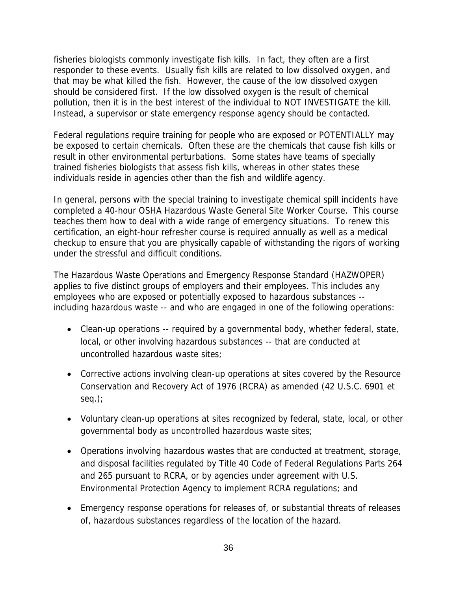fisheries biologists commonly investigate fish kills. In fact, they often are a first responder to these events. Usually fish kills are related to low dissolved oxygen, and that may be what killed the fish. However, the cause of the low dissolved oxygen should be considered first. If the low dissolved oxygen is the result of chemical pollution, then it is in the best interest of the individual to NOT INVESTIGATE the kill. Instead, a supervisor or state emergency response agency should be contacted.

Federal regulations require training for people who are exposed or POTENTIALLY may be exposed to certain chemicals. Often these are the chemicals that cause fish kills or result in other environmental perturbations. Some states have teams of specially trained fisheries biologists that assess fish kills, whereas in other states these individuals reside in agencies other than the fish and wildlife agency.

In general, persons with the special training to investigate chemical spill incidents have completed a 40-hour OSHA Hazardous Waste General Site Worker Course. This course teaches them how to deal with a wide range of emergency situations. To renew this certification, an eight-hour refresher course is required annually as well as a medical checkup to ensure that you are physically capable of withstanding the rigors of working under the stressful and difficult conditions.

The Hazardous Waste Operations and Emergency Response Standard (HAZWOPER) applies to five distinct groups of employers and their employees. This includes any employees who are exposed or potentially exposed to hazardous substances - including hazardous waste -- and who are engaged in one of the following operations:

- Clean-up operations -- required by a governmental body, whether federal, state, local, or other involving hazardous substances -- that are conducted at uncontrolled hazardous waste sites;
- Corrective actions involving clean-up operations at sites covered by the Resource Conservation and Recovery Act of 1976 (RCRA) as amended (42 U.S.C. 6901 et seq.);
- Voluntary clean-up operations at sites recognized by federal, state, local, or other governmental body as uncontrolled hazardous waste sites;
- Operations involving hazardous wastes that are conducted at treatment, storage, and disposal facilities regulated by Title 40 Code of Federal Regulations Parts 264 and 265 pursuant to RCRA, or by agencies under agreement with U.S. Environmental Protection Agency to implement RCRA regulations; and
- Emergency response operations for releases of, or substantial threats of releases of, hazardous substances regardless of the location of the hazard.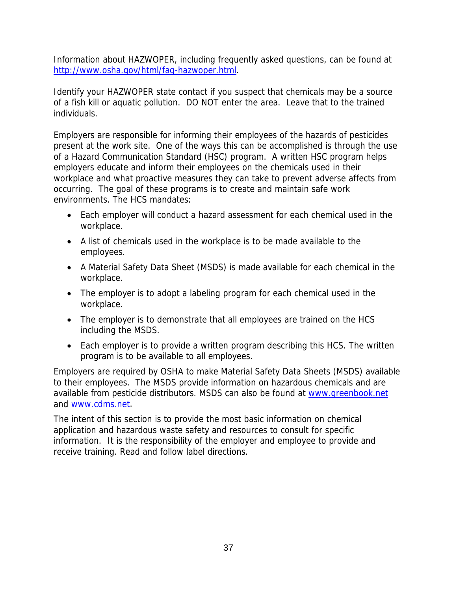Information about HAZWOPER, including frequently asked questions, can be found at http://www.osha.gov/html/faq-hazwoper.html.

Identify your HAZWOPER state contact if you suspect that chemicals may be a source of a fish kill or aquatic pollution. DO NOT enter the area. Leave that to the trained individuals.

Employers are responsible for informing their employees of the hazards of pesticides present at the work site. One of the ways this can be accomplished is through the use of a Hazard Communication Standard (HSC) program. A written HSC program helps employers educate and inform their employees on the chemicals used in their workplace and what proactive measures they can take to prevent adverse affects from occurring. The goal of these programs is to create and maintain safe work environments. The HCS mandates:

- Each employer will conduct a hazard assessment for each chemical used in the workplace.
- A list of chemicals used in the workplace is to be made available to the employees.
- A Material Safety Data Sheet (MSDS) is made available for each chemical in the workplace.
- The employer is to adopt a labeling program for each chemical used in the workplace.
- The employer is to demonstrate that all employees are trained on the HCS including the MSDS.
- Each employer is to provide a written program describing this HCS. The written program is to be available to all employees.

Employers are required by OSHA to make Material Safety Data Sheets (MSDS) available to their employees. The MSDS provide information on hazardous chemicals and are available from pesticide distributors. MSDS can also be found at www.greenbook.net and www.cdms.net.

The intent of this section is to provide the most basic information on chemical application and hazardous waste safety and resources to consult for specific information. It is the responsibility of the employer and employee to provide and receive training. Read and follow label directions.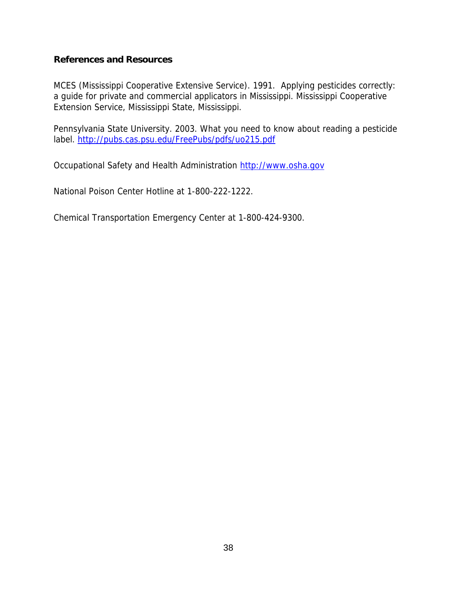#### **References and Resources**

MCES (Mississippi Cooperative Extensive Service). 1991. Applying pesticides correctly: a guide for private and commercial applicators in Mississippi. Mississippi Cooperative Extension Service, Mississippi State, Mississippi.

Pennsylvania State University. 2003. What you need to know about reading a pesticide label. http://pubs.cas.psu.edu/FreePubs/pdfs/uo215.pdf

Occupational Safety and Health Administration http://www.osha.gov

National Poison Center Hotline at 1-800-222-1222.

Chemical Transportation Emergency Center at 1-800-424-9300.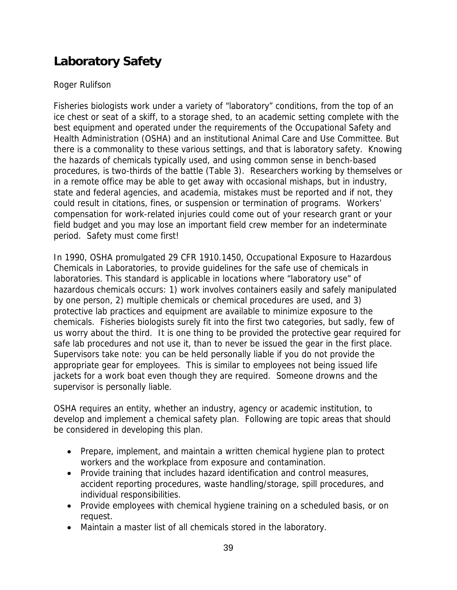# <span id="page-38-0"></span>**Laboratory Safety**

# Roger Rulifson

Fisheries biologists work under a variety of "laboratory" conditions, from the top of an ice chest or seat of a skiff, to a storage shed, to an academic setting complete with the best equipment and operated under the requirements of the Occupational Safety and Health Administration (OSHA) and an institutional Animal Care and Use Committee. But there is a commonality to these various settings, and that is laboratory safety. Knowing the hazards of chemicals typically used, and using common sense in bench-based procedures, is two-thirds of the battle (Table 3). Researchers working by themselves or in a remote office may be able to get away with occasional mishaps, but in industry, state and federal agencies, and academia, mistakes must be reported and if not, they could result in citations, fines, or suspension or termination of programs. Workers' compensation for work-related injuries could come out of your research grant or your field budget and you may lose an important field crew member for an indeterminate period. Safety must come first!

In 1990, OSHA promulgated 29 CFR 1910.1450, Occupational Exposure to Hazardous Chemicals in Laboratories, to provide guidelines for the safe use of chemicals in laboratories. This standard is applicable in locations where "laboratory use" of hazardous chemicals occurs: 1) work involves containers easily and safely manipulated by one person, 2) multiple chemicals or chemical procedures are used, and 3) protective lab practices and equipment are available to minimize exposure to the chemicals. Fisheries biologists surely fit into the first two categories, but sadly, few of us worry about the third. It is one thing to be provided the protective gear required for safe lab procedures and not use it, than to never be issued the gear in the first place. Supervisors take note: you can be held personally liable if you do not provide the appropriate gear for employees. This is similar to employees not being issued life jackets for a work boat even though they are required. Someone drowns and the supervisor is personally liable.

OSHA requires an entity, whether an industry, agency or academic institution, to develop and implement a chemical safety plan. Following are topic areas that should be considered in developing this plan.

- Prepare, implement, and maintain a written chemical hygiene plan to protect workers and the workplace from exposure and contamination.
- Provide training that includes hazard identification and control measures, accident reporting procedures, waste handling/storage, spill procedures, and individual responsibilities.
- Provide employees with chemical hygiene training on a scheduled basis, or on request.
- Maintain a master list of all chemicals stored in the laboratory.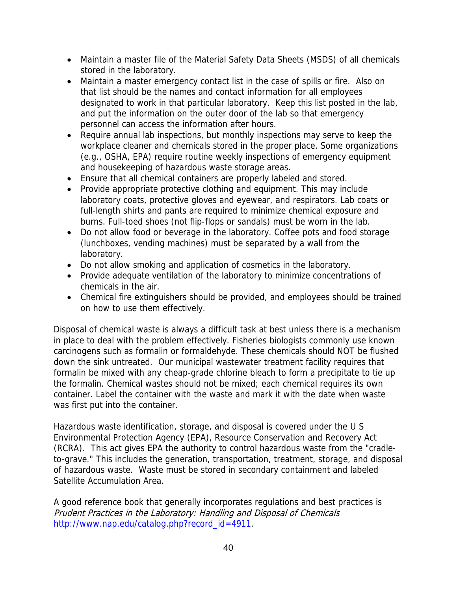- Maintain a master file of the Material Safety Data Sheets (MSDS) of all chemicals stored in the laboratory.
- Maintain a master emergency contact list in the case of spills or fire. Also on that list should be the names and contact information for all employees designated to work in that particular laboratory. Keep this list posted in the lab, and put the information on the outer door of the lab so that emergency personnel can access the information after hours.
- Require annual lab inspections, but monthly inspections may serve to keep the workplace cleaner and chemicals stored in the proper place. Some organizations (e.g., OSHA, EPA) require routine weekly inspections of emergency equipment and housekeeping of hazardous waste storage areas.
- Ensure that all chemical containers are properly labeled and stored.
- Provide appropriate protective clothing and equipment. This may include laboratory coats, protective gloves and eyewear, and respirators. Lab coats or full-length shirts and pants are required to minimize chemical exposure and burns. Full-toed shoes (not flip-flops or sandals) must be worn in the lab.
- Do not allow food or beverage in the laboratory. Coffee pots and food storage (lunchboxes, vending machines) must be separated by a wall from the laboratory.
- Do not allow smoking and application of cosmetics in the laboratory.
- Provide adequate ventilation of the laboratory to minimize concentrations of chemicals in the air.
- Chemical fire extinguishers should be provided, and employees should be trained on how to use them effectively.

Disposal of chemical waste is always a difficult task at best unless there is a mechanism in place to deal with the problem effectively. Fisheries biologists commonly use known carcinogens such as formalin or formaldehyde. These chemicals should NOT be flushed down the sink untreated. Our municipal wastewater treatment facility requires that formalin be mixed with any cheap-grade chlorine bleach to form a precipitate to tie up the formalin. Chemical wastes should not be mixed; each chemical requires its own container. Label the container with the waste and mark it with the date when waste was first put into the container.

Hazardous waste identification, storage, and disposal is covered under the U S Environmental Protection Agency (EPA), Resource Conservation and Recovery Act (RCRA). This act gives EPA the authority to control hazardous waste from the "cradleto-grave." This includes the generation, transportation, treatment, storage, and disposal of hazardous waste. Waste must be stored in secondary containment and labeled Satellite Accumulation Area.

A good reference book that generally incorporates regulations and best practices is Prudent Practices in the Laboratory: Handling and Disposal of Chemicals http://www.nap.edu/catalog.php?record\_id=4911.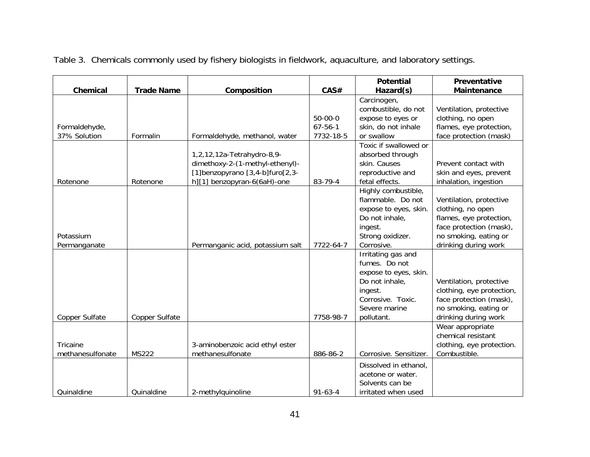|                                     |                   |                                                                                                                                        |                                             | <b>Potential</b>                                                                                                                              | Preventative                                                                                                                                        |
|-------------------------------------|-------------------|----------------------------------------------------------------------------------------------------------------------------------------|---------------------------------------------|-----------------------------------------------------------------------------------------------------------------------------------------------|-----------------------------------------------------------------------------------------------------------------------------------------------------|
| Chemical                            | <b>Trade Name</b> | Composition                                                                                                                            | CAS#                                        | Hazard(s)                                                                                                                                     | Maintenance                                                                                                                                         |
| Formaldehyde,<br>37% Solution       | Formalin          | Formaldehyde, methanol, water                                                                                                          | $50 - 00 - 0$<br>$67 - 56 - 1$<br>7732-18-5 | Carcinogen,<br>combustible, do not<br>expose to eyes or<br>skin, do not inhale<br>or swallow                                                  | Ventilation, protective<br>clothing, no open<br>flames, eye protection,<br>face protection (mask)                                                   |
| Rotenone                            | Rotenone          | 1,2,12,12a-Tetrahydro-8,9-<br>dimethoxy-2-(1-methyl-ethenyl)-<br>[1] benzopyrano $[3,4-b]$ furo $[2,3-$<br>h][1] benzopyran-6(6aH)-one | 83-79-4                                     | Toxic if swallowed or<br>absorbed through<br>skin. Causes<br>reproductive and<br>fetal effects.                                               | Prevent contact with<br>skin and eyes, prevent<br>inhalation, ingestion                                                                             |
| Potassium<br>Permanganate           |                   | Permanganic acid, potassium salt                                                                                                       | 7722-64-7                                   | Highly combustible,<br>flammable. Do not<br>expose to eyes, skin.<br>Do not inhale,<br>ingest.<br>Strong oxidizer.<br>Corrosive.              | Ventilation, protective<br>clothing, no open<br>flames, eye protection,<br>face protection (mask),<br>no smoking, eating or<br>drinking during work |
| Copper Sulfate                      | Copper Sulfate    |                                                                                                                                        | 7758-98-7                                   | Irritating gas and<br>fumes. Do not<br>expose to eyes, skin.<br>Do not inhale,<br>ingest.<br>Corrosive. Toxic.<br>Severe marine<br>pollutant. | Ventilation, protective<br>clothing, eye protection,<br>face protection (mask),<br>no smoking, eating or<br>drinking during work                    |
| <b>Tricaine</b><br>methanesulfonate | <b>MS222</b>      | 3-aminobenzoic acid ethyl ester<br>methanesulfonate                                                                                    | 886-86-2                                    | Corrosive. Sensitizer.                                                                                                                        | Wear appropriate<br>chemical resistant<br>clothing, eye protection.<br>Combustible.                                                                 |
| Quinaldine                          | Quinaldine        | 2-methylquinoline                                                                                                                      | $91 - 63 - 4$                               | Dissolved in ethanol,<br>acetone or water.<br>Solvents can be<br>irritated when used                                                          |                                                                                                                                                     |

Table 3. Chemicals commonly used by fishery biologists in fieldwork, aquaculture, and laboratory settings.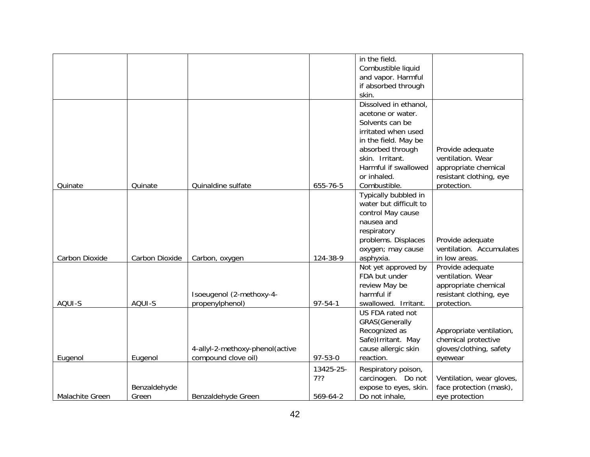|                 |                |                                 |               | in the field.          |                           |
|-----------------|----------------|---------------------------------|---------------|------------------------|---------------------------|
|                 |                |                                 |               | Combustible liquid     |                           |
|                 |                |                                 |               | and vapor. Harmful     |                           |
|                 |                |                                 |               | if absorbed through    |                           |
|                 |                |                                 |               |                        |                           |
|                 |                |                                 |               | skin.                  |                           |
|                 |                |                                 |               | Dissolved in ethanol,  |                           |
|                 |                |                                 |               | acetone or water.      |                           |
|                 |                |                                 |               | Solvents can be        |                           |
|                 |                |                                 |               | irritated when used    |                           |
|                 |                |                                 |               | in the field. May be   |                           |
|                 |                |                                 |               | absorbed through       | Provide adequate          |
|                 |                |                                 |               | skin. Irritant.        | ventilation. Wear         |
|                 |                |                                 |               | Harmful if swallowed   | appropriate chemical      |
|                 |                |                                 |               | or inhaled.            | resistant clothing, eye   |
| Quinate         | Quinate        | Quinaldine sulfate              | 655-76-5      | Combustible.           | protection.               |
|                 |                |                                 |               | Typically bubbled in   |                           |
|                 |                |                                 |               | water but difficult to |                           |
|                 |                |                                 |               | control May cause      |                           |
|                 |                |                                 |               | nausea and             |                           |
|                 |                |                                 |               | respiratory            |                           |
|                 |                |                                 |               | problems. Displaces    | Provide adequate          |
|                 |                |                                 |               |                        | ventilation. Accumulates  |
|                 |                |                                 |               | oxygen; may cause      |                           |
| Carbon Dioxide  | Carbon Dioxide | Carbon, oxygen                  | 124-38-9      | asphyxia.              | in low areas.             |
|                 |                |                                 |               | Not yet approved by    | Provide adequate          |
|                 |                |                                 |               | FDA but under          | ventilation. Wear         |
|                 |                |                                 |               | review May be          | appropriate chemical      |
|                 |                | Isoeugenol (2-methoxy-4-        |               | harmful if             | resistant clothing, eye   |
| AQUI-S          | AQUI-S         | propenylphenol)                 | $97 - 54 - 1$ | swallowed. Irritant.   | protection.               |
|                 |                |                                 |               | US FDA rated not       |                           |
|                 |                |                                 |               | GRAS (Generally        |                           |
|                 |                |                                 |               | Recognized as          | Appropriate ventilation,  |
|                 |                |                                 |               | Safe) Irritant. May    | chemical protective       |
|                 |                | 4-allyl-2-methoxy-phenol(active |               | cause allergic skin    | gloves/clothing, safety   |
| Eugenol         | Eugenol        | compound clove oil)             | 97-53-0       | reaction.              | eyewear                   |
|                 |                |                                 | 13425-25-     | Respiratory poison,    |                           |
|                 |                |                                 | 7??           | carcinogen. Do not     | Ventilation, wear gloves, |
|                 | Benzaldehyde   |                                 |               | expose to eyes, skin.  | face protection (mask),   |
|                 |                |                                 |               |                        |                           |
| Malachite Green | Green          | Benzaldehyde Green              | 569-64-2      | Do not inhale,         | eye protection            |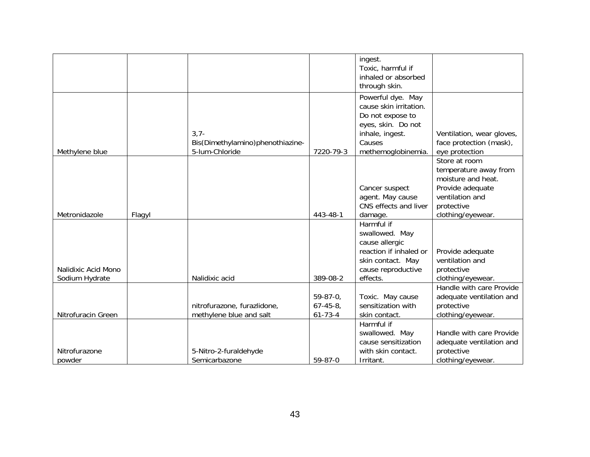|                         |                                  |               | ingest.<br>Toxic, harmful if<br>inhaled or absorbed |                                                      |
|-------------------------|----------------------------------|---------------|-----------------------------------------------------|------------------------------------------------------|
|                         |                                  |               | through skin.                                       |                                                      |
|                         |                                  |               | Powerful dye. May                                   |                                                      |
|                         |                                  |               | cause skin irritation.                              |                                                      |
|                         |                                  |               | Do not expose to                                    |                                                      |
|                         | $3.7 -$                          |               | eyes, skin. Do not<br>inhale, ingest.               |                                                      |
|                         | Bis(Dimethylamino)phenothiazine- |               | Causes                                              | Ventilation, wear gloves,<br>face protection (mask), |
| Methylene blue          | 5-lum-Chloride                   | 7220-79-3     | methemoglobinemia.                                  | eye protection                                       |
|                         |                                  |               |                                                     | Store at room                                        |
|                         |                                  |               |                                                     | temperature away from                                |
|                         |                                  |               |                                                     | moisture and heat.                                   |
|                         |                                  |               | Cancer suspect                                      | Provide adequate                                     |
|                         |                                  |               | agent. May cause                                    | ventilation and                                      |
|                         |                                  |               | CNS effects and liver                               | protective                                           |
| Metronidazole<br>Flagyl |                                  | 443-48-1      | damage.                                             | clothing/eyewear.                                    |
|                         |                                  |               | Harmful if                                          |                                                      |
|                         |                                  |               | swallowed. May                                      |                                                      |
|                         |                                  |               | cause allergic                                      |                                                      |
|                         |                                  |               | reaction if inhaled or                              | Provide adequate                                     |
|                         |                                  |               | skin contact. May                                   | ventilation and                                      |
| Nalidixic Acid Mono     |                                  |               | cause reproductive                                  | protective                                           |
| Sodium Hydrate          | Nalidixic acid                   | 389-08-2      | effects.                                            | clothing/eyewear.                                    |
|                         |                                  |               |                                                     | Handle with care Provide                             |
|                         |                                  | $59-87-0,$    | Toxic. May cause                                    | adequate ventilation and                             |
|                         | nitrofurazone, furazlidone,      | $67 - 45 - 8$ | sensitization with                                  | protective                                           |
| Nitrofuracin Green      | methylene blue and salt          | $61 - 73 - 4$ | skin contact.                                       | clothing/eyewear.                                    |
|                         |                                  |               | Harmful if                                          |                                                      |
|                         |                                  |               | swallowed. May<br>cause sensitization               | Handle with care Provide                             |
| Nitrofurazone           | 5-Nitro-2-furaldehyde            |               | with skin contact.                                  | adequate ventilation and<br>protective               |
| powder                  |                                  |               |                                                     |                                                      |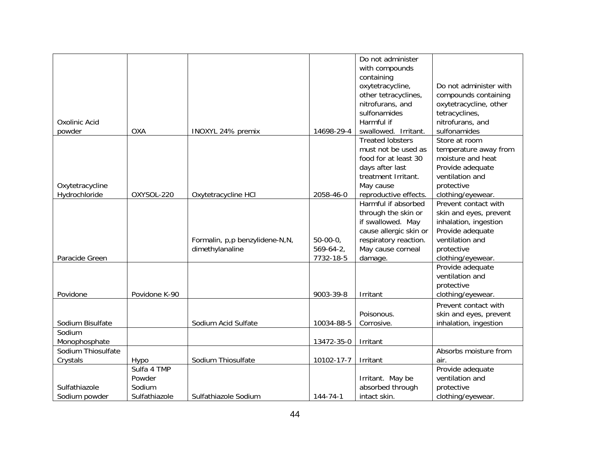|                    |               |                                |            | Do not administer<br>with compounds          |                                           |
|--------------------|---------------|--------------------------------|------------|----------------------------------------------|-------------------------------------------|
|                    |               |                                |            | containing                                   |                                           |
|                    |               |                                |            | oxytetracycline,                             | Do not administer with                    |
|                    |               |                                |            | other tetracyclines,                         | compounds containing                      |
|                    |               |                                |            | nitrofurans, and                             | oxytetracycline, other                    |
|                    |               |                                |            | sulfonamides                                 | tetracyclines,                            |
| Oxolinic Acid      |               |                                |            | Harmful if                                   | nitrofurans, and                          |
| powder             | <b>OXA</b>    | INOXYL 24% premix              | 14698-29-4 | swallowed. Irritant.                         | sulfonamides                              |
|                    |               |                                |            | <b>Treated lobsters</b>                      | Store at room                             |
|                    |               |                                |            | must not be used as                          | temperature away from                     |
|                    |               |                                |            | food for at least 30                         | moisture and heat                         |
|                    |               |                                |            | days after last                              | Provide adequate                          |
|                    |               |                                |            | treatment Irritant.                          | ventilation and                           |
| Oxytetracycline    |               |                                |            | May cause                                    | protective                                |
| Hydrochloride      | OXYSOL-220    | Oxytetracycline HCI            | 2058-46-0  | reproductive effects.<br>Harmful if absorbed | clothing/eyewear.<br>Prevent contact with |
|                    |               |                                |            | through the skin or                          | skin and eyes, prevent                    |
|                    |               |                                |            | if swallowed. May                            | inhalation, ingestion                     |
|                    |               |                                |            | cause allergic skin or                       | Provide adequate                          |
|                    |               | Formalin, p,p benzylidene-N,N, | $50-00-0,$ | respiratory reaction.                        | ventilation and                           |
|                    |               | dimethylanaline                | $569-64-2$ | May cause corneal                            | protective                                |
| Paracide Green     |               |                                | 7732-18-5  | damage.                                      | clothing/eyewear.                         |
|                    |               |                                |            |                                              | Provide adequate                          |
|                    |               |                                |            |                                              | ventilation and                           |
|                    |               |                                |            |                                              | protective                                |
| Povidone           | Povidone K-90 |                                | 9003-39-8  | Irritant                                     | clothing/eyewear.                         |
|                    |               |                                |            |                                              | Prevent contact with                      |
|                    |               |                                |            | Poisonous.                                   | skin and eyes, prevent                    |
| Sodium Bisulfate   |               | Sodium Acid Sulfate            | 10034-88-5 | Corrosive.                                   | inhalation, ingestion                     |
| Sodium             |               |                                |            |                                              |                                           |
| Monophosphate      |               |                                | 13472-35-0 | Irritant                                     |                                           |
| Sodium Thiosulfate |               |                                |            |                                              | Absorbs moisture from                     |
| Crystals           | Hypo          | Sodium Thiosulfate             | 10102-17-7 | Irritant                                     | air.                                      |
|                    | Sulfa 4 TMP   |                                |            |                                              | Provide adequate                          |
|                    | Powder        |                                |            | Irritant. May be                             | ventilation and                           |
| Sulfathiazole      | Sodium        |                                |            | absorbed through                             | protective                                |
| Sodium powder      | Sulfathiazole | Sulfathiazole Sodium           | 144-74-1   | intact skin.                                 | clothing/eyewear.                         |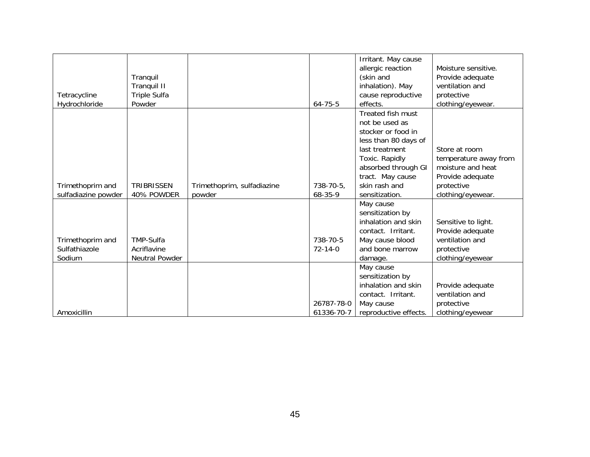|                     |                   |                            |                | Irritant. May cause   |                       |
|---------------------|-------------------|----------------------------|----------------|-----------------------|-----------------------|
|                     |                   |                            |                | allergic reaction     | Moisture sensitive.   |
|                     | Tranquil          |                            |                | (skin and             | Provide adequate      |
|                     | Tranquil II       |                            |                | inhalation). May      | ventilation and       |
| Tetracycline        | Triple Sulfa      |                            |                | cause reproductive    | protective            |
| Hydrochloride       | Powder            |                            | $64 - 75 - 5$  | effects.              | clothing/eyewear.     |
|                     |                   |                            |                | Treated fish must     |                       |
|                     |                   |                            |                | not be used as        |                       |
|                     |                   |                            |                | stocker or food in    |                       |
|                     |                   |                            |                | less than 80 days of  |                       |
|                     |                   |                            |                | last treatment        | Store at room         |
|                     |                   |                            |                | Toxic. Rapidly        | temperature away from |
|                     |                   |                            |                | absorbed through GI   | moisture and heat     |
|                     |                   |                            |                | tract. May cause      | Provide adequate      |
| Trimethoprim and    | <b>TRIBRISSEN</b> | Trimethoprim, sulfadiazine | $738 - 70 - 5$ | skin rash and         | protective            |
| sulfadiazine powder | 40% POWDER        | powder                     | 68-35-9        | sensitization.        | clothing/eyewear.     |
|                     |                   |                            |                | May cause             |                       |
|                     |                   |                            |                | sensitization by      |                       |
|                     |                   |                            |                | inhalation and skin   | Sensitive to light.   |
|                     |                   |                            |                | contact. Irritant.    | Provide adequate      |
| Trimethoprim and    | <b>TMP-Sulfa</b>  |                            | 738-70-5       | May cause blood       | ventilation and       |
| Sulfathiazole       | Acriflavine       |                            | $72 - 14 - 0$  | and bone marrow       | protective            |
| Sodium              | Neutral Powder    |                            |                | damage.               | clothing/eyewear      |
|                     |                   |                            |                | May cause             |                       |
|                     |                   |                            |                | sensitization by      |                       |
|                     |                   |                            |                | inhalation and skin   | Provide adequate      |
|                     |                   |                            |                | contact. Irritant.    | ventilation and       |
|                     |                   |                            | 26787-78-0     | May cause             | protective            |
| Amoxicillin         |                   |                            | 61336-70-7     | reproductive effects. |                       |
|                     |                   |                            |                |                       | clothing/eyewear      |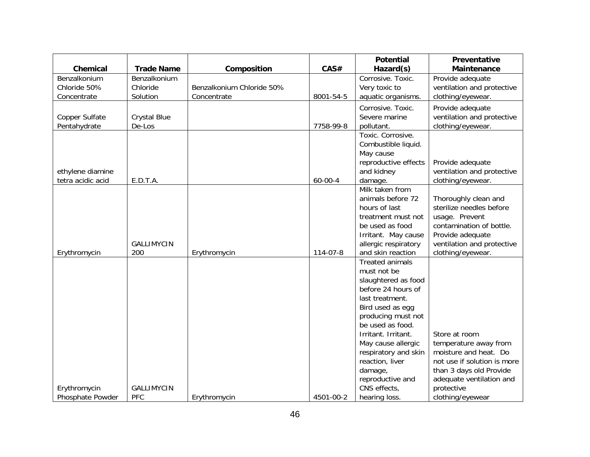|                   |                   |                           |               | <b>Potential</b>       | Preventative                |
|-------------------|-------------------|---------------------------|---------------|------------------------|-----------------------------|
| <b>Chemical</b>   | <b>Trade Name</b> | Composition               | CAS#          | Hazard(s)              | Maintenance                 |
| Benzalkonium      | Benzalkonium      |                           |               | Corrosive. Toxic.      | Provide adequate            |
| Chloride 50%      | Chloride          | Benzalkonium Chloride 50% |               | Very toxic to          | ventilation and protective  |
| Concentrate       | Solution          | Concentrate               | 8001-54-5     | aquatic organisms.     | clothing/eyewear.           |
|                   |                   |                           |               | Corrosive. Toxic.      | Provide adequate            |
| Copper Sulfate    | Crystal Blue      |                           |               | Severe marine          | ventilation and protective  |
| Pentahydrate      | De-Los            |                           | 7758-99-8     | pollutant.             | clothing/eyewear.           |
|                   |                   |                           |               | Toxic. Corrosive.      |                             |
|                   |                   |                           |               | Combustible liquid.    |                             |
|                   |                   |                           |               | May cause              |                             |
|                   |                   |                           |               | reproductive effects   | Provide adequate            |
| ethylene diamine  |                   |                           |               | and kidney             | ventilation and protective  |
| tetra acidic acid | E.D.T.A.          |                           | $60 - 00 - 4$ | damage.                | clothing/eyewear.           |
|                   |                   |                           |               | Milk taken from        |                             |
|                   |                   |                           |               | animals before 72      | Thoroughly clean and        |
|                   |                   |                           |               | hours of last          | sterilize needles before    |
|                   |                   |                           |               | treatment must not     | usage. Prevent              |
|                   |                   |                           |               | be used as food        | contamination of bottle.    |
|                   |                   |                           |               | Irritant. May cause    | Provide adequate            |
|                   | <b>GALLIMYCIN</b> |                           |               | allergic respiratory   | ventilation and protective  |
| Erythromycin      | 200               | Erythromycin              | 114-07-8      | and skin reaction      | clothing/eyewear.           |
|                   |                   |                           |               | <b>Treated animals</b> |                             |
|                   |                   |                           |               | must not be            |                             |
|                   |                   |                           |               | slaughtered as food    |                             |
|                   |                   |                           |               | before 24 hours of     |                             |
|                   |                   |                           |               | last treatment.        |                             |
|                   |                   |                           |               | Bird used as egg       |                             |
|                   |                   |                           |               | producing must not     |                             |
|                   |                   |                           |               | be used as food.       |                             |
|                   |                   |                           |               | Irritant. Irritant.    | Store at room               |
|                   |                   |                           |               | May cause allergic     | temperature away from       |
|                   |                   |                           |               | respiratory and skin   | moisture and heat. Do       |
|                   |                   |                           |               | reaction, liver        | not use if solution is more |
|                   |                   |                           |               | damage,                | than 3 days old Provide     |
|                   |                   |                           |               | reproductive and       | adequate ventilation and    |
| Erythromycin      | <b>GALLIMYCIN</b> |                           |               | CNS effects,           | protective                  |
| Phosphate Powder  | PFC               | Erythromycin              | 4501-00-2     | hearing loss.          | clothing/eyewear            |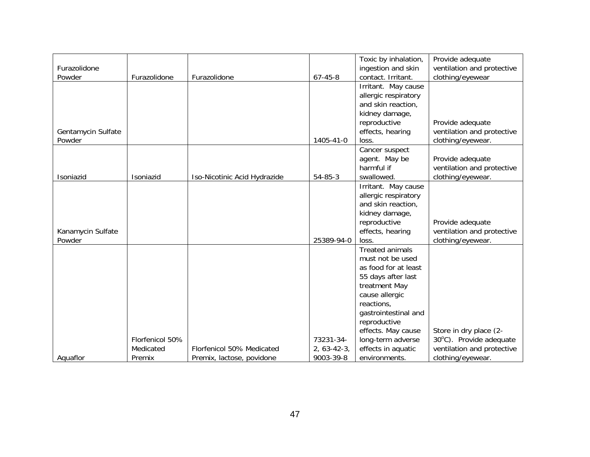|                    |                 |                              |               | Toxic by inhalation,   | Provide adequate           |
|--------------------|-----------------|------------------------------|---------------|------------------------|----------------------------|
| Furazolidone       |                 |                              |               | ingestion and skin     | ventilation and protective |
| Powder             | Furazolidone    | Furazolidone                 | $67 - 45 - 8$ | contact. Irritant.     | clothing/eyewear           |
|                    |                 |                              |               | Irritant. May cause    |                            |
|                    |                 |                              |               | allergic respiratory   |                            |
|                    |                 |                              |               | and skin reaction,     |                            |
|                    |                 |                              |               | kidney damage,         |                            |
|                    |                 |                              |               | reproductive           | Provide adequate           |
| Gentamycin Sulfate |                 |                              |               | effects, hearing       | ventilation and protective |
| Powder             |                 |                              | 1405-41-0     | loss.                  | clothing/eyewear.          |
|                    |                 |                              |               | Cancer suspect         |                            |
|                    |                 |                              |               | agent. May be          | Provide adequate           |
|                    |                 |                              |               | harmful if             | ventilation and protective |
| Isoniazid          | Isoniazid       | Iso-Nicotinic Acid Hydrazide | $54 - 85 - 3$ | swallowed.             | clothing/eyewear.          |
|                    |                 |                              |               | Irritant. May cause    |                            |
|                    |                 |                              |               | allergic respiratory   |                            |
|                    |                 |                              |               | and skin reaction,     |                            |
|                    |                 |                              |               | kidney damage,         |                            |
|                    |                 |                              |               | reproductive           | Provide adequate           |
| Kanamycin Sulfate  |                 |                              |               | effects, hearing       | ventilation and protective |
| Powder             |                 |                              | 25389-94-0    | loss.                  | clothing/eyewear.          |
|                    |                 |                              |               | <b>Treated animals</b> |                            |
|                    |                 |                              |               | must not be used       |                            |
|                    |                 |                              |               | as food for at least   |                            |
|                    |                 |                              |               | 55 days after last     |                            |
|                    |                 |                              |               | treatment May          |                            |
|                    |                 |                              |               | cause allergic         |                            |
|                    |                 |                              |               | reactions,             |                            |
|                    |                 |                              |               | gastrointestinal and   |                            |
|                    |                 |                              |               | reproductive           |                            |
|                    |                 |                              |               | effects. May cause     | Store in dry place (2-     |
|                    | Florfenicol 50% |                              | 73231-34-     | long-term adverse      | 30°C). Provide adequate    |
|                    | Medicated       | Florfenicol 50% Medicated    | $2, 63-42-3,$ | effects in aquatic     | ventilation and protective |
| Aquaflor           | Premix          | Premix, lactose, povidone    | 9003-39-8     | environments.          | clothing/eyewear.          |